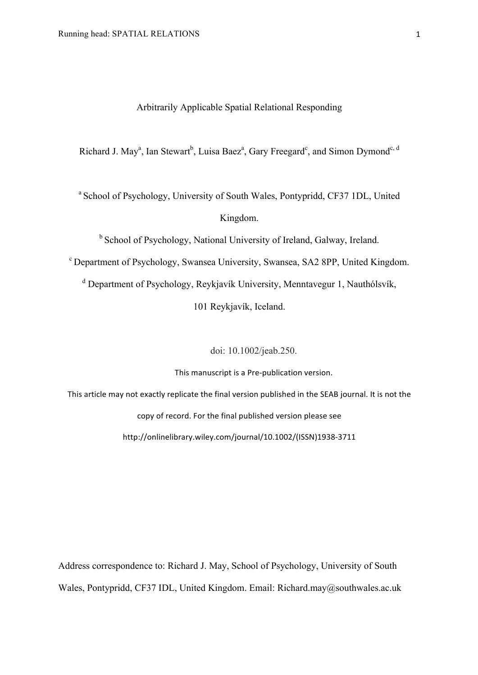## Arbitrarily Applicable Spatial Relational Responding

Richard J. May<sup>a</sup>, Ian Stewart<sup>b</sup>, Luisa Baez<sup>a</sup>, Gary Freegard<sup>c</sup>, and Simon Dymond<sup>c, d</sup>

<sup>a</sup> School of Psychology, University of South Wales, Pontypridd, CF37 1DL, United Kingdom.

b School of Psychology, National University of Ireland, Galway, Ireland.

<sup>c</sup> Department of Psychology, Swansea University, Swansea, SA2 8PP, United Kingdom.

<sup>d</sup> Department of Psychology, Reykjavík University, Menntavegur 1, Nauthólsvík,

101 Reykjavík, Iceland.

doi: 10.1002/jeab.250.

This manuscript is a Pre-publication version.

This article may not exactly replicate the final version published in the SEAB journal. It is not the

copy of record. For the final published version please see

http://onlinelibrary.wiley.com/journal/10.1002/(ISSN)1938-3711

Address correspondence to: Richard J. May, School of Psychology, University of South Wales, Pontypridd, CF37 IDL, United Kingdom. Email: Richard.may@southwales.ac.uk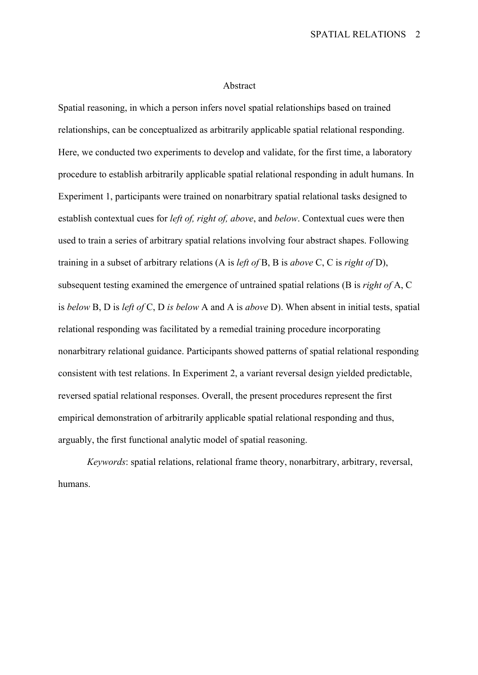#### Abstract

Spatial reasoning, in which a person infers novel spatial relationships based on trained relationships, can be conceptualized as arbitrarily applicable spatial relational responding. Here, we conducted two experiments to develop and validate, for the first time, a laboratory procedure to establish arbitrarily applicable spatial relational responding in adult humans. In Experiment 1, participants were trained on nonarbitrary spatial relational tasks designed to establish contextual cues for *left of, right of, above*, and *below*. Contextual cues were then used to train a series of arbitrary spatial relations involving four abstract shapes. Following training in a subset of arbitrary relations (A is *left of* B, B is *above* C, C is *right of* D), subsequent testing examined the emergence of untrained spatial relations (B is *right of* A, C is *below* B, D is *left of* C, D *is below* A and A is *above* D). When absent in initial tests, spatial relational responding was facilitated by a remedial training procedure incorporating nonarbitrary relational guidance. Participants showed patterns of spatial relational responding consistent with test relations. In Experiment 2, a variant reversal design yielded predictable, reversed spatial relational responses. Overall, the present procedures represent the first empirical demonstration of arbitrarily applicable spatial relational responding and thus, arguably, the first functional analytic model of spatial reasoning.

*Keywords*: spatial relations, relational frame theory, nonarbitrary, arbitrary, reversal, humans.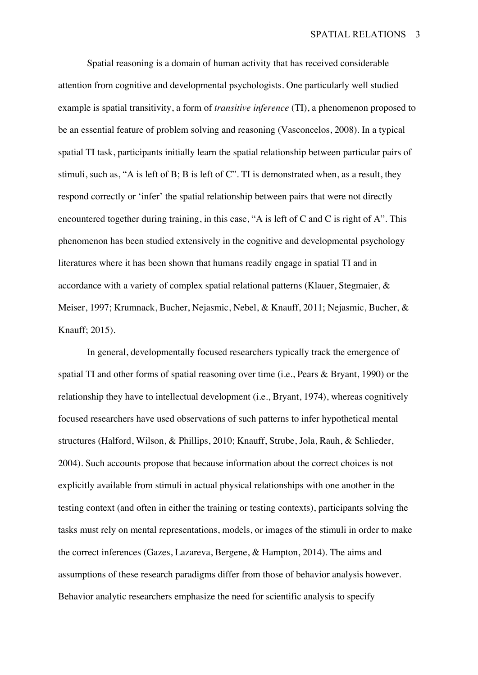Spatial reasoning is a domain of human activity that has received considerable attention from cognitive and developmental psychologists. One particularly well studied example is spatial transitivity, a form of *transitive inference* (TI), a phenomenon proposed to be an essential feature of problem solving and reasoning (Vasconcelos, 2008). In a typical spatial TI task, participants initially learn the spatial relationship between particular pairs of stimuli, such as, "A is left of B; B is left of C". TI is demonstrated when, as a result, they respond correctly or 'infer' the spatial relationship between pairs that were not directly encountered together during training, in this case, "A is left of C and C is right of A". This phenomenon has been studied extensively in the cognitive and developmental psychology literatures where it has been shown that humans readily engage in spatial TI and in accordance with a variety of complex spatial relational patterns (Klauer, Stegmaier, & Meiser, 1997; Krumnack, Bucher, Nejasmic, Nebel, & Knauff, 2011; Nejasmic, Bucher, & Knauff; 2015).

In general, developmentally focused researchers typically track the emergence of spatial TI and other forms of spatial reasoning over time (i.e., Pears & Bryant, 1990) or the relationship they have to intellectual development (i.e., Bryant, 1974), whereas cognitively focused researchers have used observations of such patterns to infer hypothetical mental structures (Halford, Wilson, & Phillips, 2010; Knauff, Strube, Jola, Rauh, & Schlieder, 2004). Such accounts propose that because information about the correct choices is not explicitly available from stimuli in actual physical relationships with one another in the testing context (and often in either the training or testing contexts), participants solving the tasks must rely on mental representations, models, or images of the stimuli in order to make the correct inferences (Gazes, Lazareva, Bergene, & Hampton, 2014). The aims and assumptions of these research paradigms differ from those of behavior analysis however. Behavior analytic researchers emphasize the need for scientific analysis to specify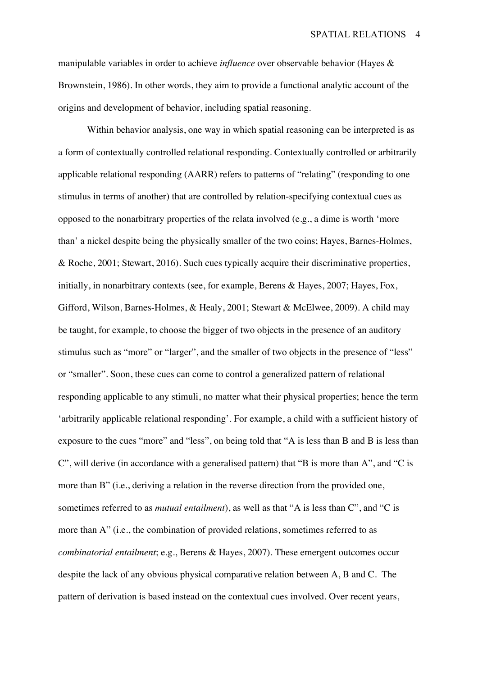manipulable variables in order to achieve *influence* over observable behavior (Hayes & Brownstein, 1986). In other words, they aim to provide a functional analytic account of the origins and development of behavior, including spatial reasoning.

Within behavior analysis, one way in which spatial reasoning can be interpreted is as a form of contextually controlled relational responding. Contextually controlled or arbitrarily applicable relational responding (AARR) refers to patterns of "relating" (responding to one stimulus in terms of another) that are controlled by relation-specifying contextual cues as opposed to the nonarbitrary properties of the relata involved (e.g., a dime is worth 'more than' a nickel despite being the physically smaller of the two coins; Hayes, Barnes-Holmes, & Roche, 2001; Stewart, 2016). Such cues typically acquire their discriminative properties, initially, in nonarbitrary contexts (see, for example, Berens & Hayes, 2007; Hayes, Fox, Gifford, Wilson, Barnes-Holmes, & Healy, 2001; Stewart & McElwee, 2009). A child may be taught, for example, to choose the bigger of two objects in the presence of an auditory stimulus such as "more" or "larger", and the smaller of two objects in the presence of "less" or "smaller". Soon, these cues can come to control a generalized pattern of relational responding applicable to any stimuli, no matter what their physical properties; hence the term 'arbitrarily applicable relational responding'. For example, a child with a sufficient history of exposure to the cues "more" and "less", on being told that "A is less than B and B is less than C", will derive (in accordance with a generalised pattern) that "B is more than A", and "C is more than B" (i.e., deriving a relation in the reverse direction from the provided one, sometimes referred to as *mutual entailment*), as well as that "A is less than C", and "C is more than A" (i.e., the combination of provided relations, sometimes referred to as *combinatorial entailment*; e.g., Berens & Hayes, 2007). These emergent outcomes occur despite the lack of any obvious physical comparative relation between A, B and C. The pattern of derivation is based instead on the contextual cues involved. Over recent years,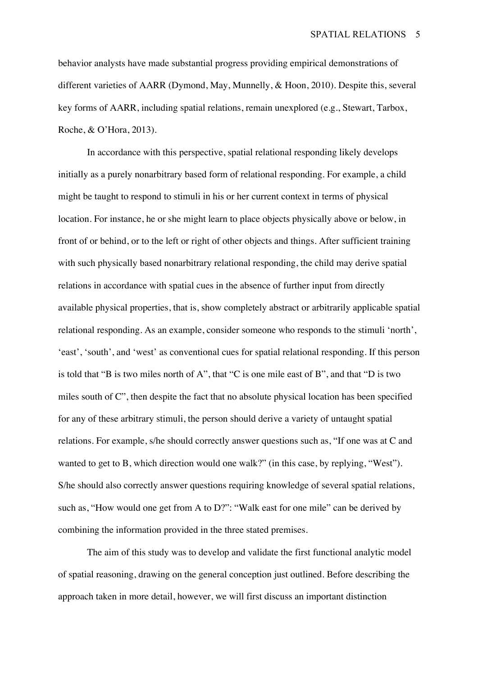behavior analysts have made substantial progress providing empirical demonstrations of different varieties of AARR (Dymond, May, Munnelly, & Hoon, 2010). Despite this, several key forms of AARR, including spatial relations, remain unexplored (e.g., Stewart, Tarbox, Roche, & O'Hora, 2013).

In accordance with this perspective, spatial relational responding likely develops initially as a purely nonarbitrary based form of relational responding. For example, a child might be taught to respond to stimuli in his or her current context in terms of physical location. For instance, he or she might learn to place objects physically above or below, in front of or behind, or to the left or right of other objects and things. After sufficient training with such physically based nonarbitrary relational responding, the child may derive spatial relations in accordance with spatial cues in the absence of further input from directly available physical properties, that is, show completely abstract or arbitrarily applicable spatial relational responding. As an example, consider someone who responds to the stimuli 'north', 'east', 'south', and 'west' as conventional cues for spatial relational responding. If this person is told that "B is two miles north of A", that "C is one mile east of B", and that "D is two miles south of C", then despite the fact that no absolute physical location has been specified for any of these arbitrary stimuli, the person should derive a variety of untaught spatial relations. For example, s/he should correctly answer questions such as, "If one was at C and wanted to get to B, which direction would one walk?" (in this case, by replying, "West"). S/he should also correctly answer questions requiring knowledge of several spatial relations, such as, "How would one get from A to D?": "Walk east for one mile" can be derived by combining the information provided in the three stated premises.

The aim of this study was to develop and validate the first functional analytic model of spatial reasoning, drawing on the general conception just outlined. Before describing the approach taken in more detail, however, we will first discuss an important distinction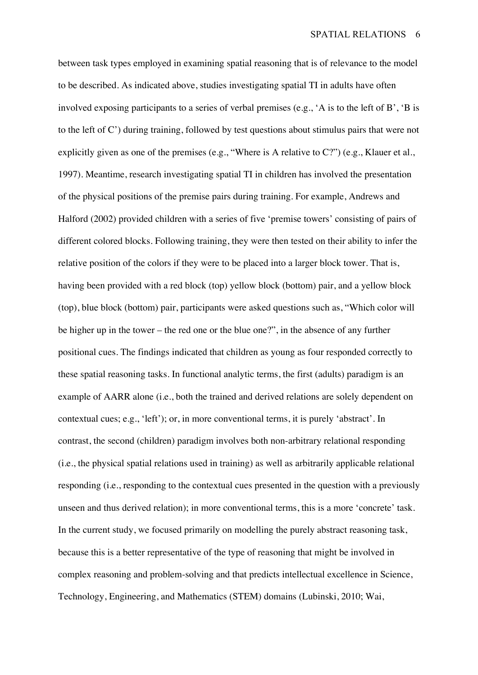between task types employed in examining spatial reasoning that is of relevance to the model to be described. As indicated above, studies investigating spatial TI in adults have often involved exposing participants to a series of verbal premises (e.g., 'A is to the left of B', 'B is to the left of C') during training, followed by test questions about stimulus pairs that were not explicitly given as one of the premises (e.g., "Where is A relative to C?") (e.g., Klauer et al., 1997). Meantime, research investigating spatial TI in children has involved the presentation of the physical positions of the premise pairs during training. For example, Andrews and Halford (2002) provided children with a series of five 'premise towers' consisting of pairs of different colored blocks. Following training, they were then tested on their ability to infer the relative position of the colors if they were to be placed into a larger block tower. That is, having been provided with a red block (top) yellow block (bottom) pair, and a yellow block (top), blue block (bottom) pair, participants were asked questions such as, "Which color will be higher up in the tower – the red one or the blue one?", in the absence of any further positional cues. The findings indicated that children as young as four responded correctly to these spatial reasoning tasks. In functional analytic terms, the first (adults) paradigm is an example of AARR alone (i.e., both the trained and derived relations are solely dependent on contextual cues; e.g., 'left'); or, in more conventional terms, it is purely 'abstract'. In contrast, the second (children) paradigm involves both non-arbitrary relational responding (i.e., the physical spatial relations used in training) as well as arbitrarily applicable relational responding (i.e., responding to the contextual cues presented in the question with a previously unseen and thus derived relation); in more conventional terms, this is a more 'concrete' task. In the current study, we focused primarily on modelling the purely abstract reasoning task, because this is a better representative of the type of reasoning that might be involved in complex reasoning and problem-solving and that predicts intellectual excellence in Science, Technology, Engineering, and Mathematics (STEM) domains (Lubinski, 2010; Wai,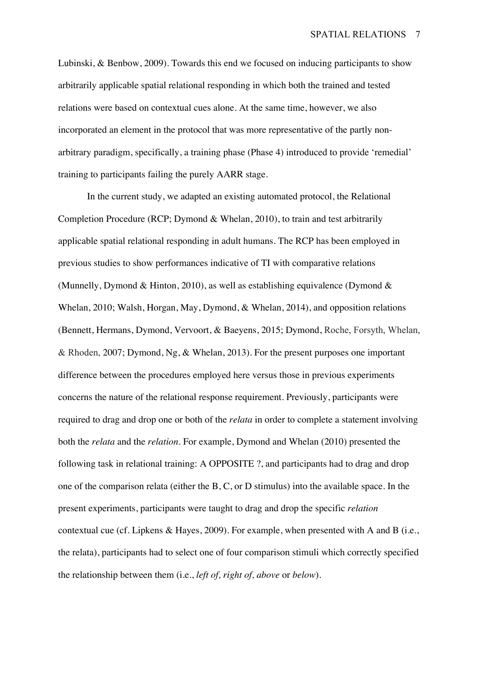Lubinski, & Benbow, 2009). Towards this end we focused on inducing participants to show arbitrarily applicable spatial relational responding in which both the trained and tested relations were based on contextual cues alone. At the same time, however, we also incorporated an element in the protocol that was more representative of the partly nonarbitrary paradigm, specifically, a training phase (Phase 4) introduced to provide 'remedial' training to participants failing the purely AARR stage.

In the current study, we adapted an existing automated protocol, the Relational Completion Procedure (RCP; Dymond & Whelan, 2010), to train and test arbitrarily applicable spatial relational responding in adult humans. The RCP has been employed in previous studies to show performances indicative of TI with comparative relations (Munnelly, Dymond & Hinton, 2010), as well as establishing equivalence (Dymond & Whelan, 2010; Walsh, Horgan, May, Dymond, & Whelan, 2014), and opposition relations (Bennett, Hermans, Dymond, Vervoort, & Baeyens, 2015; Dymond, Roche, Forsyth, Whelan, & Rhoden, 2007; Dymond, Ng, & Whelan, 2013). For the present purposes one important difference between the procedures employed here versus those in previous experiments concerns the nature of the relational response requirement. Previously, participants were required to drag and drop one or both of the *relata* in order to complete a statement involving both the *relata* and the *relation*. For example, Dymond and Whelan (2010) presented the following task in relational training: A OPPOSITE ?, and participants had to drag and drop one of the comparison relata (either the B, C, or D stimulus) into the available space. In the present experiments, participants were taught to drag and drop the specific *relation*  contextual cue (cf. Lipkens & Hayes, 2009). For example, when presented with A and B (i.e., the relata), participants had to select one of four comparison stimuli which correctly specified the relationship between them (i.e., *left of, right of, above* or *below*).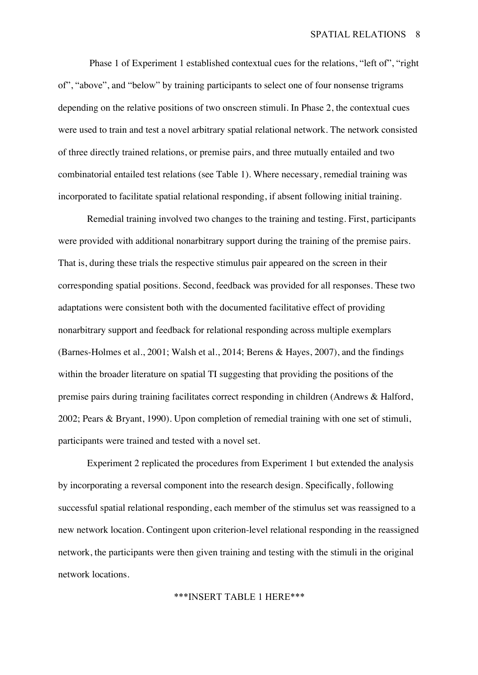Phase 1 of Experiment 1 established contextual cues for the relations, "left of", "right of", "above", and "below" by training participants to select one of four nonsense trigrams depending on the relative positions of two onscreen stimuli. In Phase 2, the contextual cues were used to train and test a novel arbitrary spatial relational network. The network consisted of three directly trained relations, or premise pairs, and three mutually entailed and two combinatorial entailed test relations (see Table 1). Where necessary, remedial training was incorporated to facilitate spatial relational responding, if absent following initial training.

Remedial training involved two changes to the training and testing. First, participants were provided with additional nonarbitrary support during the training of the premise pairs. That is, during these trials the respective stimulus pair appeared on the screen in their corresponding spatial positions. Second, feedback was provided for all responses. These two adaptations were consistent both with the documented facilitative effect of providing nonarbitrary support and feedback for relational responding across multiple exemplars (Barnes-Holmes et al., 2001; Walsh et al., 2014; Berens & Hayes, 2007), and the findings within the broader literature on spatial TI suggesting that providing the positions of the premise pairs during training facilitates correct responding in children (Andrews & Halford, 2002; Pears & Bryant, 1990). Upon completion of remedial training with one set of stimuli, participants were trained and tested with a novel set.

Experiment 2 replicated the procedures from Experiment 1 but extended the analysis by incorporating a reversal component into the research design. Specifically, following successful spatial relational responding, each member of the stimulus set was reassigned to a new network location. Contingent upon criterion-level relational responding in the reassigned network, the participants were then given training and testing with the stimuli in the original network locations.

## \*\*\*INSERT TABLE 1 HERE\*\*\*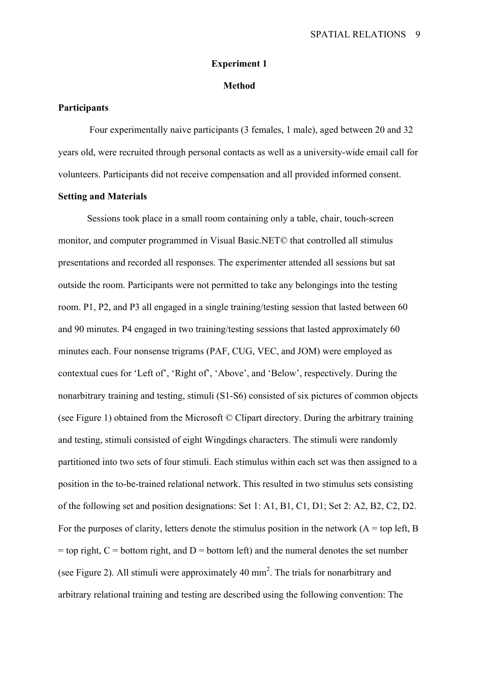#### **Experiment 1**

### **Method**

## **Participants**

Four experimentally naive participants (3 females, 1 male), aged between 20 and 32 years old, were recruited through personal contacts as well as a university-wide email call for volunteers. Participants did not receive compensation and all provided informed consent.

## **Setting and Materials**

Sessions took place in a small room containing only a table, chair, touch-screen monitor, and computer programmed in Visual Basic.NET© that controlled all stimulus presentations and recorded all responses. The experimenter attended all sessions but sat outside the room. Participants were not permitted to take any belongings into the testing room. P1, P2, and P3 all engaged in a single training/testing session that lasted between 60 and 90 minutes. P4 engaged in two training/testing sessions that lasted approximately 60 minutes each. Four nonsense trigrams (PAF, CUG, VEC, and JOM) were employed as contextual cues for 'Left of', 'Right of', 'Above', and 'Below', respectively. During the nonarbitrary training and testing, stimuli (S1-S6) consisted of six pictures of common objects (see Figure 1) obtained from the Microsoft © Clipart directory. During the arbitrary training and testing, stimuli consisted of eight Wingdings characters. The stimuli were randomly partitioned into two sets of four stimuli. Each stimulus within each set was then assigned to a position in the to-be-trained relational network. This resulted in two stimulus sets consisting of the following set and position designations: Set 1: A1, B1, C1, D1; Set 2: A2, B2, C2, D2. For the purposes of clarity, letters denote the stimulus position in the network  $(A = top \, left, B)$  $=$  top right,  $C =$  bottom right, and  $D =$  bottom left) and the numeral denotes the set number (see Figure 2). All stimuli were approximately  $40 \text{ mm}^2$ . The trials for nonarbitrary and arbitrary relational training and testing are described using the following convention: The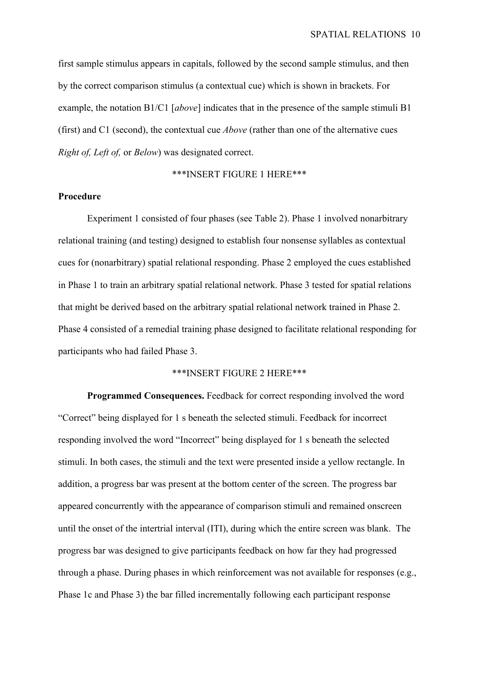first sample stimulus appears in capitals, followed by the second sample stimulus, and then by the correct comparison stimulus (a contextual cue) which is shown in brackets. For example, the notation B1/C1 [*above*] indicates that in the presence of the sample stimuli B1 (first) and C1 (second), the contextual cue *Above* (rather than one of the alternative cues *Right of, Left of,* or *Below*) was designated correct.

## \*\*\*INSERT FIGURE 1 HERE\*\*\*

#### **Procedure**

Experiment 1 consisted of four phases (see Table 2). Phase 1 involved nonarbitrary relational training (and testing) designed to establish four nonsense syllables as contextual cues for (nonarbitrary) spatial relational responding. Phase 2 employed the cues established in Phase 1 to train an arbitrary spatial relational network. Phase 3 tested for spatial relations that might be derived based on the arbitrary spatial relational network trained in Phase 2. Phase 4 consisted of a remedial training phase designed to facilitate relational responding for participants who had failed Phase 3.

## \*\*\*INSERT FIGURE 2 HERE\*\*\*

**Programmed Consequences.** Feedback for correct responding involved the word "Correct" being displayed for 1 s beneath the selected stimuli. Feedback for incorrect responding involved the word "Incorrect" being displayed for 1 s beneath the selected stimuli. In both cases, the stimuli and the text were presented inside a yellow rectangle. In addition, a progress bar was present at the bottom center of the screen. The progress bar appeared concurrently with the appearance of comparison stimuli and remained onscreen until the onset of the intertrial interval (ITI), during which the entire screen was blank. The progress bar was designed to give participants feedback on how far they had progressed through a phase. During phases in which reinforcement was not available for responses (e.g., Phase 1c and Phase 3) the bar filled incrementally following each participant response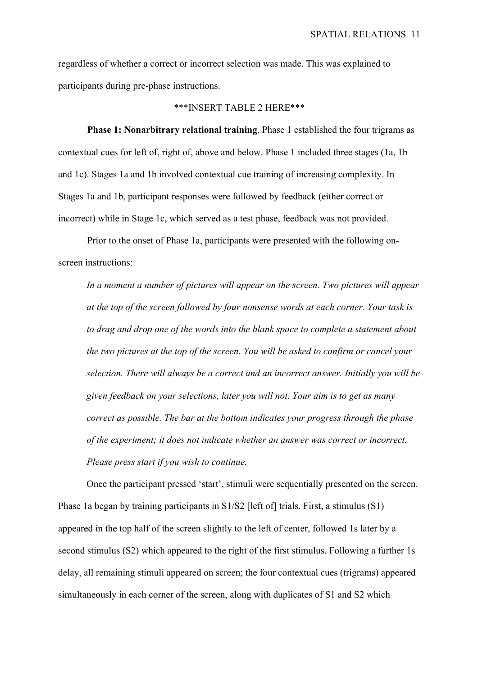regardless of whether a correct or incorrect selection was made. This was explained to participants during pre-phase instructions.

#### \*\*\*INSERT TABLE 2 HERE\*\*\*

**Phase 1: Nonarbitrary relational training**. Phase 1 established the four trigrams as contextual cues for left of, right of, above and below. Phase 1 included three stages (1a, 1b and 1c). Stages 1a and 1b involved contextual cue training of increasing complexity. In Stages 1a and 1b, participant responses were followed by feedback (either correct or incorrect) while in Stage 1c, which served as a test phase, feedback was not provided.

Prior to the onset of Phase 1a, participants were presented with the following onscreen instructions:

*In a moment a number of pictures will appear on the screen. Two pictures will appear at the top of the screen followed by four nonsense words at each corner. Your task is to drag and drop one of the words into the blank space to complete a statement about the two pictures at the top of the screen. You will be asked to confirm or cancel your selection. There will always be a correct and an incorrect answer. Initially you will be given feedback on your selections, later you will not. Your aim is to get as many correct as possible. The bar at the bottom indicates your progress through the phase of the experiment; it does not indicate whether an answer was correct or incorrect. Please press start if you wish to continue.*

Once the participant pressed 'start', stimuli were sequentially presented on the screen. Phase 1a began by training participants in S1/S2 [left of] trials. First, a stimulus (S1) appeared in the top half of the screen slightly to the left of center, followed 1s later by a second stimulus (S2) which appeared to the right of the first stimulus. Following a further 1s delay, all remaining stimuli appeared on screen; the four contextual cues (trigrams) appeared simultaneously in each corner of the screen, along with duplicates of S1 and S2 which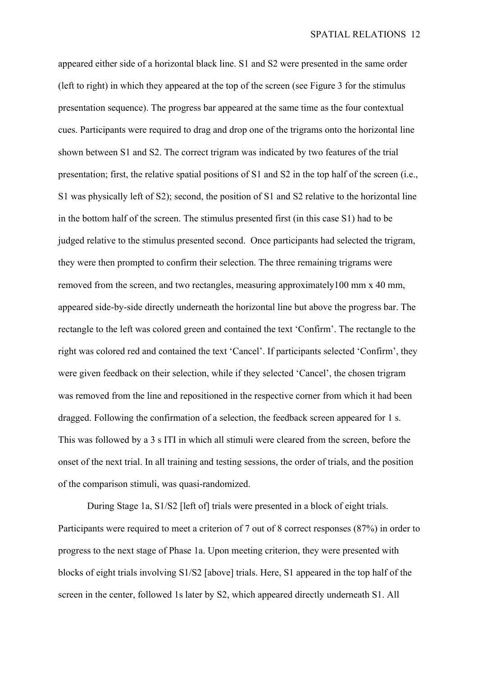appeared either side of a horizontal black line. S1 and S2 were presented in the same order (left to right) in which they appeared at the top of the screen (see Figure 3 for the stimulus presentation sequence). The progress bar appeared at the same time as the four contextual cues. Participants were required to drag and drop one of the trigrams onto the horizontal line shown between S1 and S2. The correct trigram was indicated by two features of the trial presentation; first, the relative spatial positions of S1 and S2 in the top half of the screen (i.e., S1 was physically left of S2); second, the position of S1 and S2 relative to the horizontal line in the bottom half of the screen. The stimulus presented first (in this case S1) had to be judged relative to the stimulus presented second. Once participants had selected the trigram, they were then prompted to confirm their selection. The three remaining trigrams were removed from the screen, and two rectangles, measuring approximately100 mm x 40 mm, appeared side-by-side directly underneath the horizontal line but above the progress bar. The rectangle to the left was colored green and contained the text 'Confirm'. The rectangle to the right was colored red and contained the text 'Cancel'. If participants selected 'Confirm', they were given feedback on their selection, while if they selected 'Cancel', the chosen trigram was removed from the line and repositioned in the respective corner from which it had been dragged. Following the confirmation of a selection, the feedback screen appeared for 1 s. This was followed by a 3 s ITI in which all stimuli were cleared from the screen, before the onset of the next trial. In all training and testing sessions, the order of trials, and the position of the comparison stimuli, was quasi-randomized.

During Stage 1a, S1/S2 [left of] trials were presented in a block of eight trials. Participants were required to meet a criterion of 7 out of 8 correct responses (87%) in order to progress to the next stage of Phase 1a. Upon meeting criterion, they were presented with blocks of eight trials involving S1/S2 [above] trials. Here, S1 appeared in the top half of the screen in the center, followed 1s later by S2, which appeared directly underneath S1. All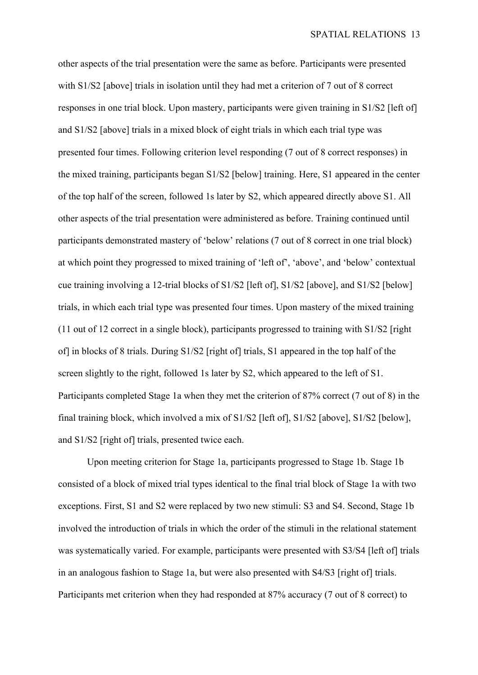other aspects of the trial presentation were the same as before. Participants were presented with S1/S2 [above] trials in isolation until they had met a criterion of 7 out of 8 correct responses in one trial block. Upon mastery, participants were given training in S1/S2 [left of] and S1/S2 [above] trials in a mixed block of eight trials in which each trial type was presented four times. Following criterion level responding (7 out of 8 correct responses) in the mixed training, participants began S1/S2 [below] training. Here, S1 appeared in the center of the top half of the screen, followed 1s later by S2, which appeared directly above S1. All other aspects of the trial presentation were administered as before. Training continued until participants demonstrated mastery of 'below' relations (7 out of 8 correct in one trial block) at which point they progressed to mixed training of 'left of', 'above', and 'below' contextual cue training involving a 12-trial blocks of S1/S2 [left of], S1/S2 [above], and S1/S2 [below] trials, in which each trial type was presented four times. Upon mastery of the mixed training (11 out of 12 correct in a single block), participants progressed to training with S1/S2 [right of] in blocks of 8 trials. During S1/S2 [right of] trials, S1 appeared in the top half of the screen slightly to the right, followed 1s later by S2, which appeared to the left of S1. Participants completed Stage 1a when they met the criterion of 87% correct (7 out of 8) in the final training block, which involved a mix of S1/S2 [left of], S1/S2 [above], S1/S2 [below], and S1/S2 [right of] trials, presented twice each.

Upon meeting criterion for Stage 1a, participants progressed to Stage 1b. Stage 1b consisted of a block of mixed trial types identical to the final trial block of Stage 1a with two exceptions. First, S1 and S2 were replaced by two new stimuli: S3 and S4. Second, Stage 1b involved the introduction of trials in which the order of the stimuli in the relational statement was systematically varied. For example, participants were presented with S3/S4 [left of] trials in an analogous fashion to Stage 1a, but were also presented with S4/S3 [right of] trials. Participants met criterion when they had responded at 87% accuracy (7 out of 8 correct) to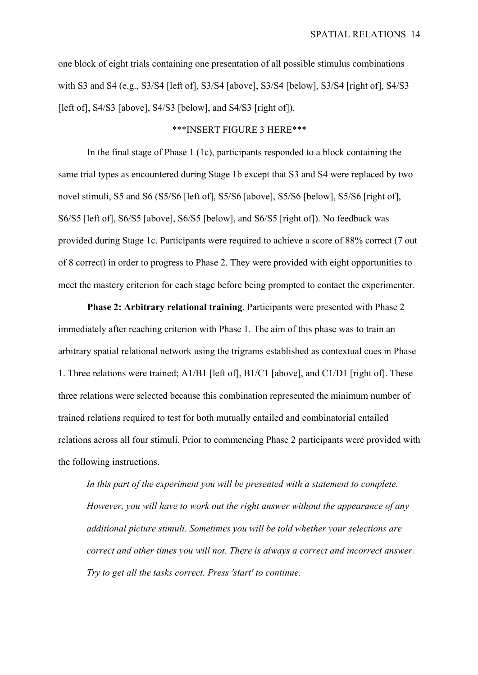one block of eight trials containing one presentation of all possible stimulus combinations with S3 and S4 (e.g., S3/S4 [left of], S3/S4 [above], S3/S4 [below], S3/S4 [right of], S4/S3 [left of], S4/S3 [above], S4/S3 [below], and S4/S3 [right of]).

## \*\*\*INSERT FIGURE 3 HERE\*\*\*

In the final stage of Phase 1 (1c), participants responded to a block containing the same trial types as encountered during Stage 1b except that S3 and S4 were replaced by two novel stimuli, S5 and S6 (S5/S6 [left of], S5/S6 [above], S5/S6 [below], S5/S6 [right of], S6/S5 [left of], S6/S5 [above], S6/S5 [below], and S6/S5 [right of]). No feedback was provided during Stage 1c. Participants were required to achieve a score of 88% correct (7 out of 8 correct) in order to progress to Phase 2. They were provided with eight opportunities to meet the mastery criterion for each stage before being prompted to contact the experimenter.

**Phase 2: Arbitrary relational training**. Participants were presented with Phase 2 immediately after reaching criterion with Phase 1. The aim of this phase was to train an arbitrary spatial relational network using the trigrams established as contextual cues in Phase 1. Three relations were trained; A1/B1 [left of], B1/C1 [above], and C1/D1 [right of]. These three relations were selected because this combination represented the minimum number of trained relations required to test for both mutually entailed and combinatorial entailed relations across all four stimuli. Prior to commencing Phase 2 participants were provided with the following instructions.

*In this part of the experiment you will be presented with a statement to complete. However, you will have to work out the right answer without the appearance of any additional picture stimuli. Sometimes you will be told whether your selections are correct and other times you will not. There is always a correct and incorrect answer. Try to get all the tasks correct. Press 'start' to continue.*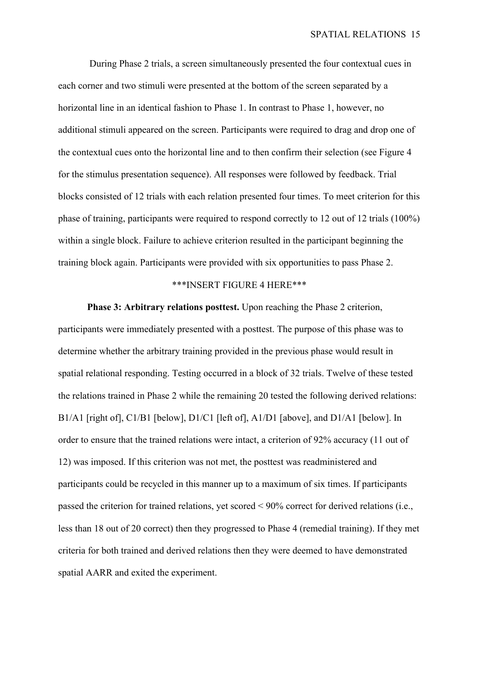During Phase 2 trials, a screen simultaneously presented the four contextual cues in each corner and two stimuli were presented at the bottom of the screen separated by a horizontal line in an identical fashion to Phase 1. In contrast to Phase 1, however, no additional stimuli appeared on the screen. Participants were required to drag and drop one of the contextual cues onto the horizontal line and to then confirm their selection (see Figure 4 for the stimulus presentation sequence). All responses were followed by feedback. Trial blocks consisted of 12 trials with each relation presented four times. To meet criterion for this phase of training, participants were required to respond correctly to 12 out of 12 trials (100%) within a single block. Failure to achieve criterion resulted in the participant beginning the training block again. Participants were provided with six opportunities to pass Phase 2.

### \*\*\*INSERT FIGURE 4 HERE\*\*\*

**Phase 3: Arbitrary relations posttest.** Upon reaching the Phase 2 criterion, participants were immediately presented with a posttest. The purpose of this phase was to determine whether the arbitrary training provided in the previous phase would result in spatial relational responding. Testing occurred in a block of 32 trials. Twelve of these tested the relations trained in Phase 2 while the remaining 20 tested the following derived relations: B1/A1 [right of], C1/B1 [below], D1/C1 [left of], A1/D1 [above], and D1/A1 [below]. In order to ensure that the trained relations were intact, a criterion of 92% accuracy (11 out of 12) was imposed. If this criterion was not met, the posttest was readministered and participants could be recycled in this manner up to a maximum of six times. If participants passed the criterion for trained relations, yet scored < 90% correct for derived relations (i.e., less than 18 out of 20 correct) then they progressed to Phase 4 (remedial training). If they met criteria for both trained and derived relations then they were deemed to have demonstrated spatial AARR and exited the experiment.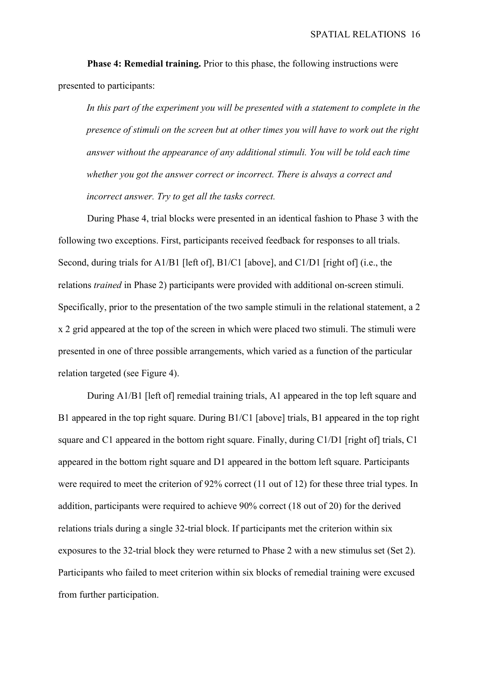**Phase 4: Remedial training.** Prior to this phase, the following instructions were presented to participants:

*In this part of the experiment you will be presented with a statement to complete in the presence of stimuli on the screen but at other times you will have to work out the right answer without the appearance of any additional stimuli. You will be told each time whether you got the answer correct or incorrect. There is always a correct and incorrect answer. Try to get all the tasks correct.*

During Phase 4, trial blocks were presented in an identical fashion to Phase 3 with the following two exceptions. First, participants received feedback for responses to all trials. Second, during trials for A1/B1 [left of], B1/C1 [above], and C1/D1 [right of] (i.e., the relations *trained* in Phase 2) participants were provided with additional on-screen stimuli. Specifically, prior to the presentation of the two sample stimuli in the relational statement, a 2 x 2 grid appeared at the top of the screen in which were placed two stimuli. The stimuli were presented in one of three possible arrangements, which varied as a function of the particular relation targeted (see Figure 4).

During A1/B1 [left of] remedial training trials, A1 appeared in the top left square and B1 appeared in the top right square. During B1/C1 [above] trials, B1 appeared in the top right square and C1 appeared in the bottom right square. Finally, during C1/D1 [right of] trials, C1 appeared in the bottom right square and D1 appeared in the bottom left square. Participants were required to meet the criterion of 92% correct (11 out of 12) for these three trial types. In addition, participants were required to achieve 90% correct (18 out of 20) for the derived relations trials during a single 32-trial block. If participants met the criterion within six exposures to the 32-trial block they were returned to Phase 2 with a new stimulus set (Set 2). Participants who failed to meet criterion within six blocks of remedial training were excused from further participation.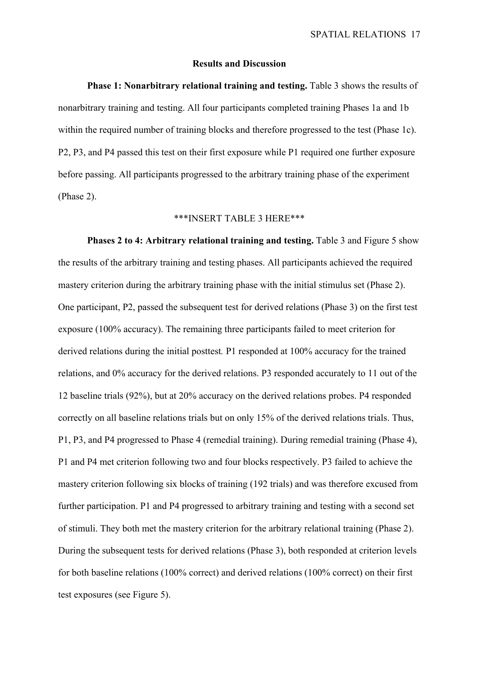#### **Results and Discussion**

**Phase 1: Nonarbitrary relational training and testing.** Table 3 shows the results of nonarbitrary training and testing. All four participants completed training Phases 1a and 1b within the required number of training blocks and therefore progressed to the test (Phase 1c). P2, P3, and P4 passed this test on their first exposure while P1 required one further exposure before passing. All participants progressed to the arbitrary training phase of the experiment (Phase 2).

## \*\*\*INSERT TABLE 3 HERE\*\*\*

**Phases 2 to 4: Arbitrary relational training and testing.** Table 3 and Figure 5 show the results of the arbitrary training and testing phases. All participants achieved the required mastery criterion during the arbitrary training phase with the initial stimulus set (Phase 2). One participant, P2, passed the subsequent test for derived relations (Phase 3) on the first test exposure (100% accuracy). The remaining three participants failed to meet criterion for derived relations during the initial posttest*.* P1 responded at 100% accuracy for the trained relations, and 0% accuracy for the derived relations. P3 responded accurately to 11 out of the 12 baseline trials (92%), but at 20% accuracy on the derived relations probes. P4 responded correctly on all baseline relations trials but on only 15% of the derived relations trials. Thus, P1, P3, and P4 progressed to Phase 4 (remedial training). During remedial training (Phase 4), P1 and P4 met criterion following two and four blocks respectively. P3 failed to achieve the mastery criterion following six blocks of training (192 trials) and was therefore excused from further participation. P1 and P4 progressed to arbitrary training and testing with a second set of stimuli. They both met the mastery criterion for the arbitrary relational training (Phase 2). During the subsequent tests for derived relations (Phase 3), both responded at criterion levels for both baseline relations (100% correct) and derived relations (100% correct) on their first test exposures (see Figure 5).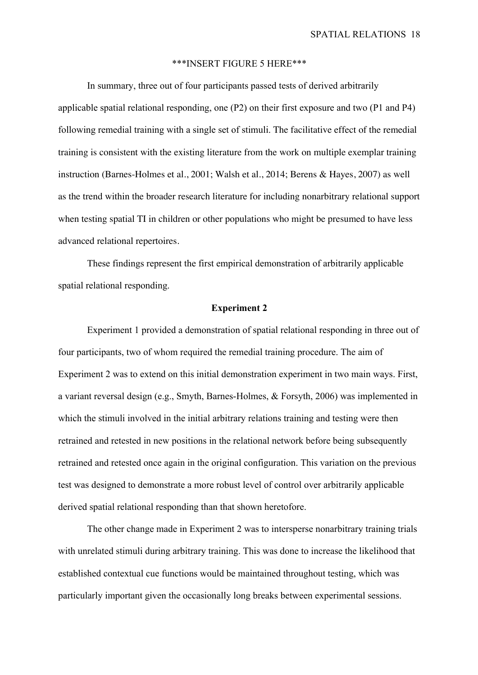#### \*\*\*INSERT FIGURE 5 HERE\*\*\*

In summary, three out of four participants passed tests of derived arbitrarily applicable spatial relational responding, one (P2) on their first exposure and two (P1 and P4) following remedial training with a single set of stimuli. The facilitative effect of the remedial training is consistent with the existing literature from the work on multiple exemplar training instruction (Barnes-Holmes et al., 2001; Walsh et al., 2014; Berens & Hayes, 2007) as well as the trend within the broader research literature for including nonarbitrary relational support when testing spatial TI in children or other populations who might be presumed to have less advanced relational repertoires.

These findings represent the first empirical demonstration of arbitrarily applicable spatial relational responding.

#### **Experiment 2**

Experiment 1 provided a demonstration of spatial relational responding in three out of four participants, two of whom required the remedial training procedure. The aim of Experiment 2 was to extend on this initial demonstration experiment in two main ways. First, a variant reversal design (e.g., Smyth, Barnes-Holmes, & Forsyth, 2006) was implemented in which the stimuli involved in the initial arbitrary relations training and testing were then retrained and retested in new positions in the relational network before being subsequently retrained and retested once again in the original configuration. This variation on the previous test was designed to demonstrate a more robust level of control over arbitrarily applicable derived spatial relational responding than that shown heretofore.

The other change made in Experiment 2 was to intersperse nonarbitrary training trials with unrelated stimuli during arbitrary training. This was done to increase the likelihood that established contextual cue functions would be maintained throughout testing, which was particularly important given the occasionally long breaks between experimental sessions.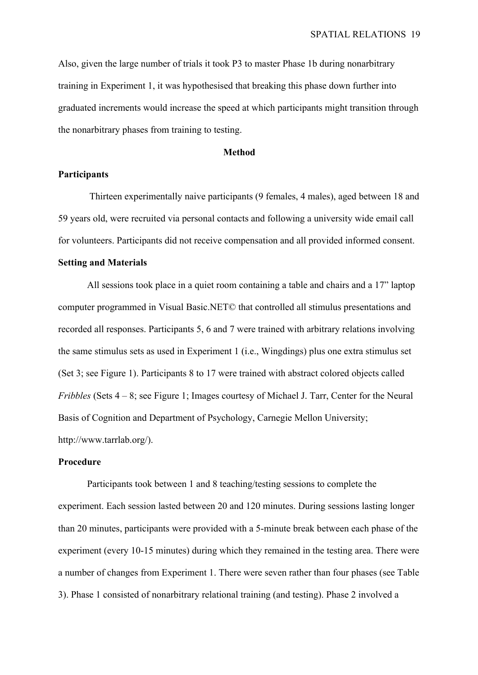Also, given the large number of trials it took P3 to master Phase 1b during nonarbitrary training in Experiment 1, it was hypothesised that breaking this phase down further into graduated increments would increase the speed at which participants might transition through the nonarbitrary phases from training to testing.

#### **Method**

#### **Participants**

Thirteen experimentally naive participants (9 females, 4 males), aged between 18 and 59 years old, were recruited via personal contacts and following a university wide email call for volunteers. Participants did not receive compensation and all provided informed consent.

#### **Setting and Materials**

All sessions took place in a quiet room containing a table and chairs and a 17" laptop computer programmed in Visual Basic.NET© that controlled all stimulus presentations and recorded all responses. Participants 5, 6 and 7 were trained with arbitrary relations involving the same stimulus sets as used in Experiment 1 (i.e., Wingdings) plus one extra stimulus set (Set 3; see Figure 1). Participants 8 to 17 were trained with abstract colored objects called *Fribbles* (Sets 4 – 8; see Figure 1; Images courtesy of Michael J. Tarr, Center for the Neural Basis of Cognition and Department of Psychology, Carnegie Mellon University; http://www.tarrlab.org/).

## **Procedure**

Participants took between 1 and 8 teaching/testing sessions to complete the experiment. Each session lasted between 20 and 120 minutes. During sessions lasting longer than 20 minutes, participants were provided with a 5-minute break between each phase of the experiment (every 10-15 minutes) during which they remained in the testing area. There were a number of changes from Experiment 1. There were seven rather than four phases (see Table 3). Phase 1 consisted of nonarbitrary relational training (and testing). Phase 2 involved a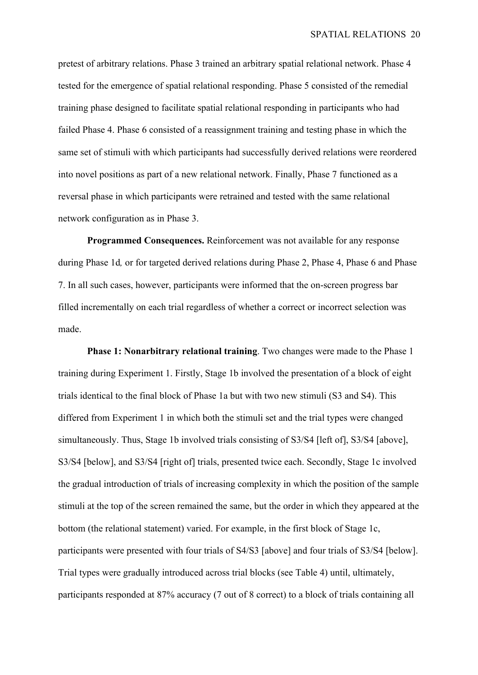pretest of arbitrary relations. Phase 3 trained an arbitrary spatial relational network. Phase 4 tested for the emergence of spatial relational responding. Phase 5 consisted of the remedial training phase designed to facilitate spatial relational responding in participants who had failed Phase 4. Phase 6 consisted of a reassignment training and testing phase in which the same set of stimuli with which participants had successfully derived relations were reordered into novel positions as part of a new relational network. Finally, Phase 7 functioned as a reversal phase in which participants were retrained and tested with the same relational network configuration as in Phase 3.

**Programmed Consequences.** Reinforcement was not available for any response during Phase 1d*,* or for targeted derived relations during Phase 2, Phase 4, Phase 6 and Phase 7. In all such cases, however, participants were informed that the on-screen progress bar filled incrementally on each trial regardless of whether a correct or incorrect selection was made.

**Phase 1: Nonarbitrary relational training**. Two changes were made to the Phase 1 training during Experiment 1. Firstly, Stage 1b involved the presentation of a block of eight trials identical to the final block of Phase 1a but with two new stimuli (S3 and S4). This differed from Experiment 1 in which both the stimuli set and the trial types were changed simultaneously. Thus, Stage 1b involved trials consisting of S3/S4 [left of], S3/S4 [above], S3/S4 [below], and S3/S4 [right of] trials, presented twice each. Secondly, Stage 1c involved the gradual introduction of trials of increasing complexity in which the position of the sample stimuli at the top of the screen remained the same, but the order in which they appeared at the bottom (the relational statement) varied. For example, in the first block of Stage 1c, participants were presented with four trials of S4/S3 [above] and four trials of S3/S4 [below]. Trial types were gradually introduced across trial blocks (see Table 4) until, ultimately, participants responded at 87% accuracy (7 out of 8 correct) to a block of trials containing all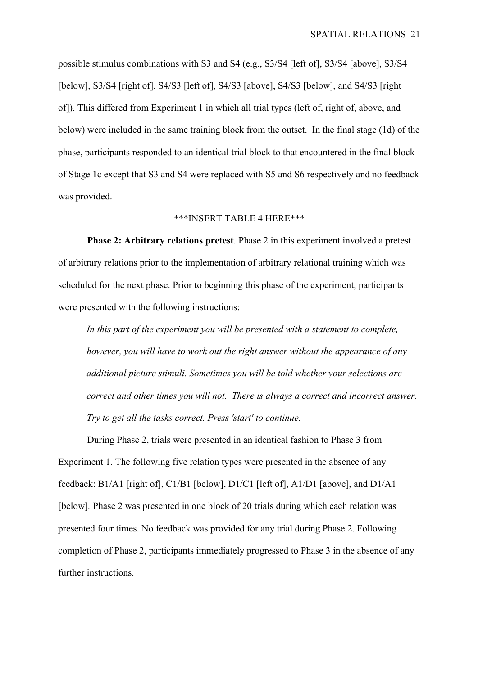possible stimulus combinations with S3 and S4 (e.g., S3/S4 [left of], S3/S4 [above], S3/S4 [below], S3/S4 [right of], S4/S3 [left of], S4/S3 [above], S4/S3 [below], and S4/S3 [right] of]). This differed from Experiment 1 in which all trial types (left of, right of, above, and below) were included in the same training block from the outset. In the final stage (1d) of the phase, participants responded to an identical trial block to that encountered in the final block of Stage 1c except that S3 and S4 were replaced with S5 and S6 respectively and no feedback was provided.

## \*\*\*INSERT TABLE 4 HERE\*\*\*

**Phase 2: Arbitrary relations pretest**. Phase 2 in this experiment involved a pretest of arbitrary relations prior to the implementation of arbitrary relational training which was scheduled for the next phase. Prior to beginning this phase of the experiment, participants were presented with the following instructions:

*In this part of the experiment you will be presented with a statement to complete, however, you will have to work out the right answer without the appearance of any additional picture stimuli. Sometimes you will be told whether your selections are correct and other times you will not. There is always a correct and incorrect answer. Try to get all the tasks correct. Press 'start' to continue.*

During Phase 2, trials were presented in an identical fashion to Phase 3 from Experiment 1. The following five relation types were presented in the absence of any feedback: B1/A1 [right of], C1/B1 [below], D1/C1 [left of], A1/D1 [above], and D1/A1 [below]*.* Phase 2 was presented in one block of 20 trials during which each relation was presented four times. No feedback was provided for any trial during Phase 2. Following completion of Phase 2, participants immediately progressed to Phase 3 in the absence of any further instructions.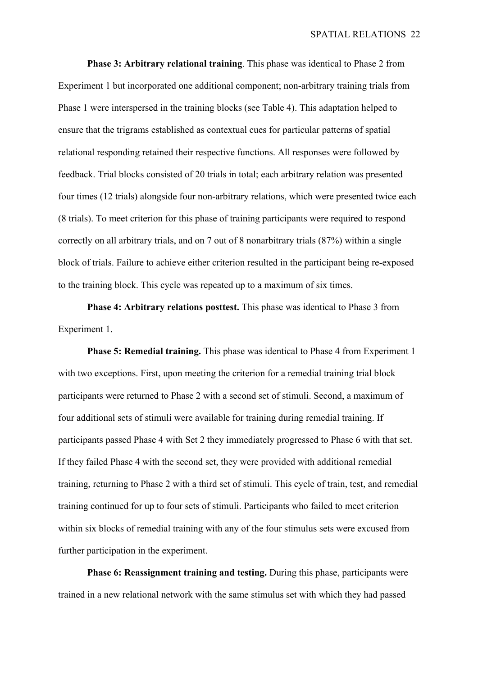**Phase 3: Arbitrary relational training**. This phase was identical to Phase 2 from Experiment 1 but incorporated one additional component; non-arbitrary training trials from Phase 1 were interspersed in the training blocks (see Table 4). This adaptation helped to ensure that the trigrams established as contextual cues for particular patterns of spatial relational responding retained their respective functions. All responses were followed by feedback. Trial blocks consisted of 20 trials in total; each arbitrary relation was presented four times (12 trials) alongside four non-arbitrary relations, which were presented twice each (8 trials). To meet criterion for this phase of training participants were required to respond correctly on all arbitrary trials, and on 7 out of 8 nonarbitrary trials (87%) within a single block of trials. Failure to achieve either criterion resulted in the participant being re-exposed to the training block. This cycle was repeated up to a maximum of six times.

**Phase 4: Arbitrary relations posttest.** This phase was identical to Phase 3 from Experiment 1.

**Phase 5: Remedial training.** This phase was identical to Phase 4 from Experiment 1 with two exceptions. First, upon meeting the criterion for a remedial training trial block participants were returned to Phase 2 with a second set of stimuli. Second, a maximum of four additional sets of stimuli were available for training during remedial training. If participants passed Phase 4 with Set 2 they immediately progressed to Phase 6 with that set. If they failed Phase 4 with the second set, they were provided with additional remedial training, returning to Phase 2 with a third set of stimuli. This cycle of train, test, and remedial training continued for up to four sets of stimuli. Participants who failed to meet criterion within six blocks of remedial training with any of the four stimulus sets were excused from further participation in the experiment.

**Phase 6: Reassignment training and testing.** During this phase, participants were trained in a new relational network with the same stimulus set with which they had passed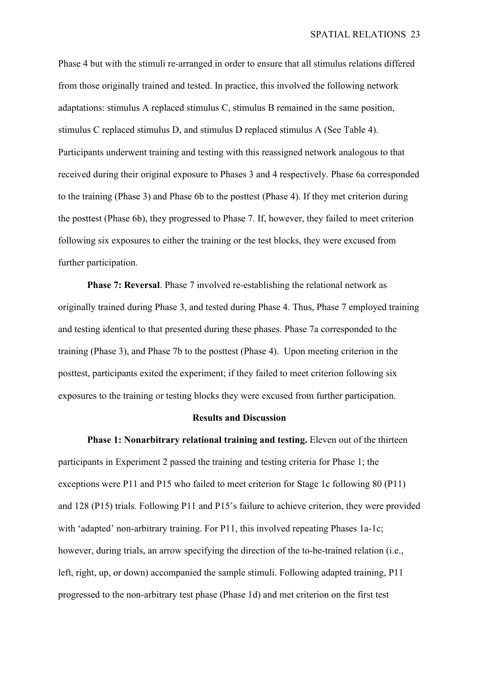Phase 4 but with the stimuli re-arranged in order to ensure that all stimulus relations differed from those originally trained and tested. In practice, this involved the following network adaptations: stimulus A replaced stimulus C, stimulus B remained in the same position, stimulus C replaced stimulus D, and stimulus D replaced stimulus A (See Table 4). Participants underwent training and testing with this reassigned network analogous to that received during their original exposure to Phases 3 and 4 respectively. Phase 6a corresponded to the training (Phase 3) and Phase 6b to the posttest (Phase 4). If they met criterion during the posttest (Phase 6b), they progressed to Phase 7. If, however, they failed to meet criterion following six exposures to either the training or the test blocks, they were excused from further participation.

**Phase 7: Reversal**. Phase 7 involved re-establishing the relational network as originally trained during Phase 3, and tested during Phase 4. Thus, Phase 7 employed training and testing identical to that presented during these phases. Phase 7a corresponded to the training (Phase 3), and Phase 7b to the posttest (Phase 4). Upon meeting criterion in the posttest, participants exited the experiment; if they failed to meet criterion following six exposures to the training or testing blocks they were excused from further participation.

### **Results and Discussion**

**Phase 1: Nonarbitrary relational training and testing.** Eleven out of the thirteen participants in Experiment 2 passed the training and testing criteria for Phase 1; the exceptions were P11 and P15 who failed to meet criterion for Stage 1c following 80 (P11) and 128 (P15) trials*.* Following P11 and P15's failure to achieve criterion, they were provided with 'adapted' non-arbitrary training. For P11, this involved repeating Phases 1a-1c; however, during trials, an arrow specifying the direction of the to-be-trained relation (i.e., left, right, up, or down) accompanied the sample stimuli. Following adapted training, P11 progressed to the non-arbitrary test phase (Phase 1d) and met criterion on the first test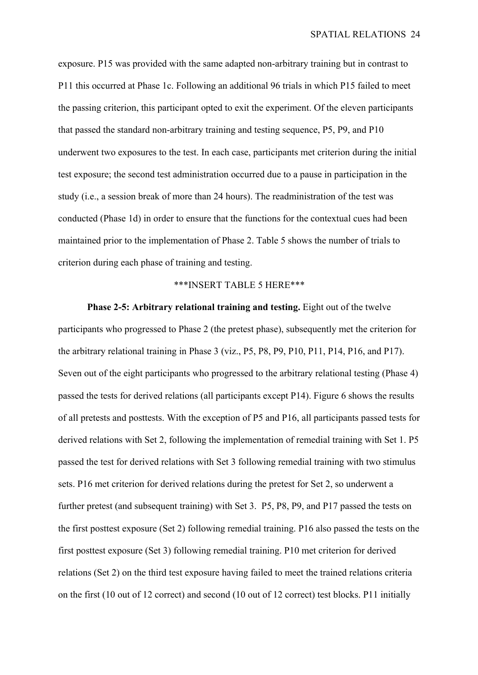exposure. P15 was provided with the same adapted non-arbitrary training but in contrast to P11 this occurred at Phase 1c. Following an additional 96 trials in which P15 failed to meet the passing criterion, this participant opted to exit the experiment. Of the eleven participants that passed the standard non-arbitrary training and testing sequence, P5, P9, and P10 underwent two exposures to the test. In each case, participants met criterion during the initial test exposure; the second test administration occurred due to a pause in participation in the study (i.e., a session break of more than 24 hours). The readministration of the test was conducted (Phase 1d) in order to ensure that the functions for the contextual cues had been maintained prior to the implementation of Phase 2. Table 5 shows the number of trials to criterion during each phase of training and testing.

### \*\*\*INSERT TABLE 5 HERE\*\*\*

**Phase 2-5: Arbitrary relational training and testing.** Eight out of the twelve participants who progressed to Phase 2 (the pretest phase), subsequently met the criterion for the arbitrary relational training in Phase 3 (viz., P5, P8, P9, P10, P11, P14, P16, and P17). Seven out of the eight participants who progressed to the arbitrary relational testing (Phase 4) passed the tests for derived relations (all participants except P14). Figure 6 shows the results of all pretests and posttests. With the exception of P5 and P16, all participants passed tests for derived relations with Set 2, following the implementation of remedial training with Set 1. P5 passed the test for derived relations with Set 3 following remedial training with two stimulus sets. P16 met criterion for derived relations during the pretest for Set 2, so underwent a further pretest (and subsequent training) with Set 3. P5, P8, P9, and P17 passed the tests on the first posttest exposure (Set 2) following remedial training. P16 also passed the tests on the first posttest exposure (Set 3) following remedial training. P10 met criterion for derived relations (Set 2) on the third test exposure having failed to meet the trained relations criteria on the first (10 out of 12 correct) and second (10 out of 12 correct) test blocks. P11 initially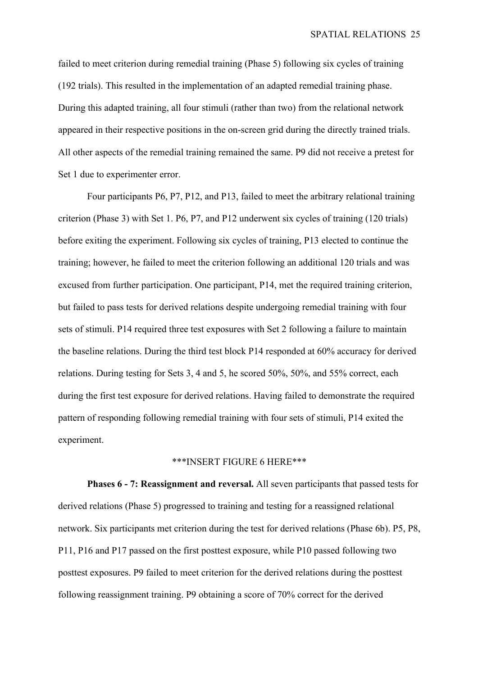failed to meet criterion during remedial training (Phase 5) following six cycles of training (192 trials). This resulted in the implementation of an adapted remedial training phase. During this adapted training, all four stimuli (rather than two) from the relational network appeared in their respective positions in the on-screen grid during the directly trained trials. All other aspects of the remedial training remained the same. P9 did not receive a pretest for Set 1 due to experimenter error.

Four participants P6, P7, P12, and P13, failed to meet the arbitrary relational training criterion (Phase 3) with Set 1. P6, P7, and P12 underwent six cycles of training (120 trials) before exiting the experiment. Following six cycles of training, P13 elected to continue the training; however, he failed to meet the criterion following an additional 120 trials and was excused from further participation. One participant, P14, met the required training criterion, but failed to pass tests for derived relations despite undergoing remedial training with four sets of stimuli. P14 required three test exposures with Set 2 following a failure to maintain the baseline relations. During the third test block P14 responded at 60% accuracy for derived relations. During testing for Sets 3, 4 and 5, he scored 50%, 50%, and 55% correct, each during the first test exposure for derived relations. Having failed to demonstrate the required pattern of responding following remedial training with four sets of stimuli, P14 exited the experiment.

## \*\*\*INSERT FIGURE 6 HERE\*\*\*

**Phases 6 - 7: Reassignment and reversal.** All seven participants that passed tests for derived relations (Phase 5) progressed to training and testing for a reassigned relational network. Six participants met criterion during the test for derived relations (Phase 6b). P5, P8, P11, P16 and P17 passed on the first posttest exposure, while P10 passed following two posttest exposures. P9 failed to meet criterion for the derived relations during the posttest following reassignment training. P9 obtaining a score of 70% correct for the derived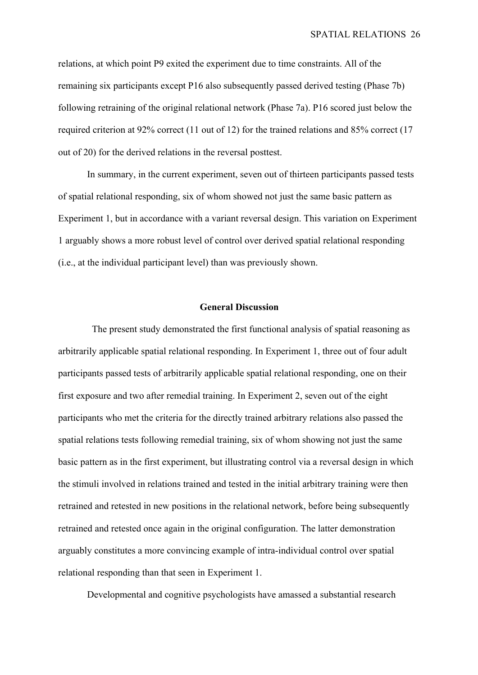relations, at which point P9 exited the experiment due to time constraints. All of the remaining six participants except P16 also subsequently passed derived testing (Phase 7b) following retraining of the original relational network (Phase 7a). P16 scored just below the required criterion at 92% correct (11 out of 12) for the trained relations and 85% correct (17 out of 20) for the derived relations in the reversal posttest.

In summary, in the current experiment, seven out of thirteen participants passed tests of spatial relational responding, six of whom showed not just the same basic pattern as Experiment 1, but in accordance with a variant reversal design. This variation on Experiment 1 arguably shows a more robust level of control over derived spatial relational responding (i.e., at the individual participant level) than was previously shown.

## **General Discussion**

The present study demonstrated the first functional analysis of spatial reasoning as arbitrarily applicable spatial relational responding. In Experiment 1, three out of four adult participants passed tests of arbitrarily applicable spatial relational responding, one on their first exposure and two after remedial training. In Experiment 2, seven out of the eight participants who met the criteria for the directly trained arbitrary relations also passed the spatial relations tests following remedial training, six of whom showing not just the same basic pattern as in the first experiment, but illustrating control via a reversal design in which the stimuli involved in relations trained and tested in the initial arbitrary training were then retrained and retested in new positions in the relational network, before being subsequently retrained and retested once again in the original configuration. The latter demonstration arguably constitutes a more convincing example of intra-individual control over spatial relational responding than that seen in Experiment 1.

Developmental and cognitive psychologists have amassed a substantial research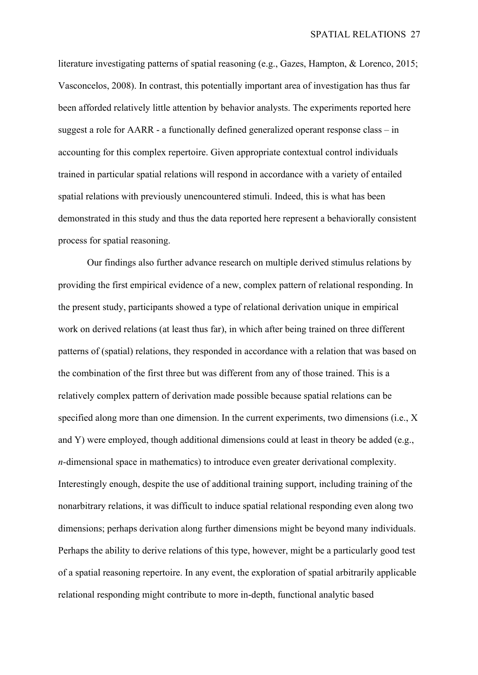literature investigating patterns of spatial reasoning (e.g., Gazes, Hampton, & Lorenco, 2015; Vasconcelos, 2008). In contrast, this potentially important area of investigation has thus far been afforded relatively little attention by behavior analysts. The experiments reported here suggest a role for AARR - a functionally defined generalized operant response class – in accounting for this complex repertoire. Given appropriate contextual control individuals trained in particular spatial relations will respond in accordance with a variety of entailed spatial relations with previously unencountered stimuli. Indeed, this is what has been demonstrated in this study and thus the data reported here represent a behaviorally consistent process for spatial reasoning.

Our findings also further advance research on multiple derived stimulus relations by providing the first empirical evidence of a new, complex pattern of relational responding. In the present study, participants showed a type of relational derivation unique in empirical work on derived relations (at least thus far), in which after being trained on three different patterns of (spatial) relations, they responded in accordance with a relation that was based on the combination of the first three but was different from any of those trained. This is a relatively complex pattern of derivation made possible because spatial relations can be specified along more than one dimension. In the current experiments, two dimensions (i.e., X and Y) were employed, though additional dimensions could at least in theory be added (e.g., *n-*dimensional space in mathematics) to introduce even greater derivational complexity. Interestingly enough, despite the use of additional training support, including training of the nonarbitrary relations, it was difficult to induce spatial relational responding even along two dimensions; perhaps derivation along further dimensions might be beyond many individuals. Perhaps the ability to derive relations of this type, however, might be a particularly good test of a spatial reasoning repertoire. In any event, the exploration of spatial arbitrarily applicable relational responding might contribute to more in-depth, functional analytic based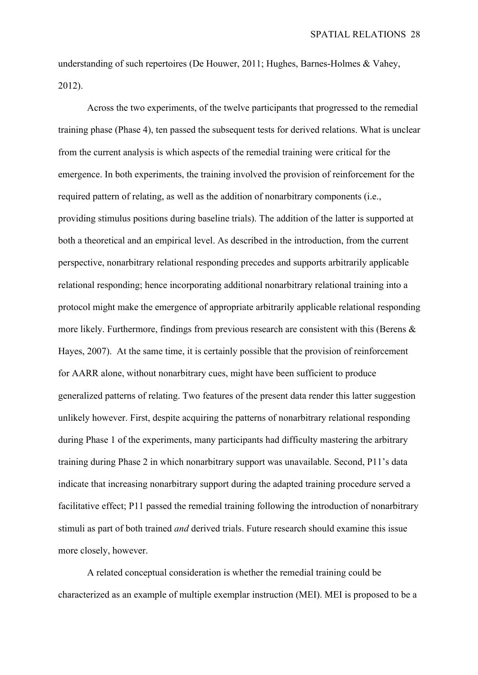understanding of such repertoires (De Houwer, 2011; Hughes, Barnes-Holmes & Vahey, 2012).

Across the two experiments, of the twelve participants that progressed to the remedial training phase (Phase 4), ten passed the subsequent tests for derived relations. What is unclear from the current analysis is which aspects of the remedial training were critical for the emergence. In both experiments, the training involved the provision of reinforcement for the required pattern of relating, as well as the addition of nonarbitrary components (i.e., providing stimulus positions during baseline trials). The addition of the latter is supported at both a theoretical and an empirical level. As described in the introduction, from the current perspective, nonarbitrary relational responding precedes and supports arbitrarily applicable relational responding; hence incorporating additional nonarbitrary relational training into a protocol might make the emergence of appropriate arbitrarily applicable relational responding more likely. Furthermore, findings from previous research are consistent with this (Berens & Hayes, 2007). At the same time, it is certainly possible that the provision of reinforcement for AARR alone, without nonarbitrary cues, might have been sufficient to produce generalized patterns of relating. Two features of the present data render this latter suggestion unlikely however. First, despite acquiring the patterns of nonarbitrary relational responding during Phase 1 of the experiments, many participants had difficulty mastering the arbitrary training during Phase 2 in which nonarbitrary support was unavailable. Second, P11's data indicate that increasing nonarbitrary support during the adapted training procedure served a facilitative effect; P11 passed the remedial training following the introduction of nonarbitrary stimuli as part of both trained *and* derived trials. Future research should examine this issue more closely, however.

A related conceptual consideration is whether the remedial training could be characterized as an example of multiple exemplar instruction (MEI). MEI is proposed to be a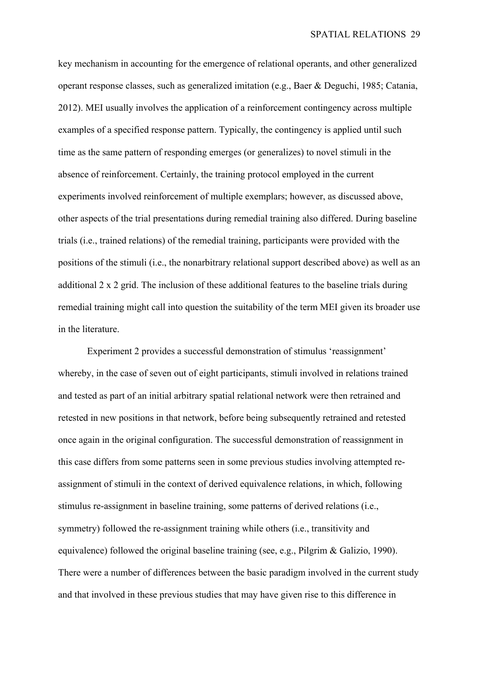key mechanism in accounting for the emergence of relational operants, and other generalized operant response classes, such as generalized imitation (e.g., Baer & Deguchi, 1985; Catania, 2012). MEI usually involves the application of a reinforcement contingency across multiple examples of a specified response pattern. Typically, the contingency is applied until such time as the same pattern of responding emerges (or generalizes) to novel stimuli in the absence of reinforcement. Certainly, the training protocol employed in the current experiments involved reinforcement of multiple exemplars; however, as discussed above, other aspects of the trial presentations during remedial training also differed. During baseline trials (i.e., trained relations) of the remedial training, participants were provided with the positions of the stimuli (i.e., the nonarbitrary relational support described above) as well as an additional 2 x 2 grid. The inclusion of these additional features to the baseline trials during remedial training might call into question the suitability of the term MEI given its broader use in the literature.

Experiment 2 provides a successful demonstration of stimulus 'reassignment' whereby, in the case of seven out of eight participants, stimuli involved in relations trained and tested as part of an initial arbitrary spatial relational network were then retrained and retested in new positions in that network, before being subsequently retrained and retested once again in the original configuration. The successful demonstration of reassignment in this case differs from some patterns seen in some previous studies involving attempted reassignment of stimuli in the context of derived equivalence relations, in which, following stimulus re-assignment in baseline training, some patterns of derived relations (i.e., symmetry) followed the re-assignment training while others (i.e., transitivity and equivalence) followed the original baseline training (see, e.g., Pilgrim & Galizio, 1990). There were a number of differences between the basic paradigm involved in the current study and that involved in these previous studies that may have given rise to this difference in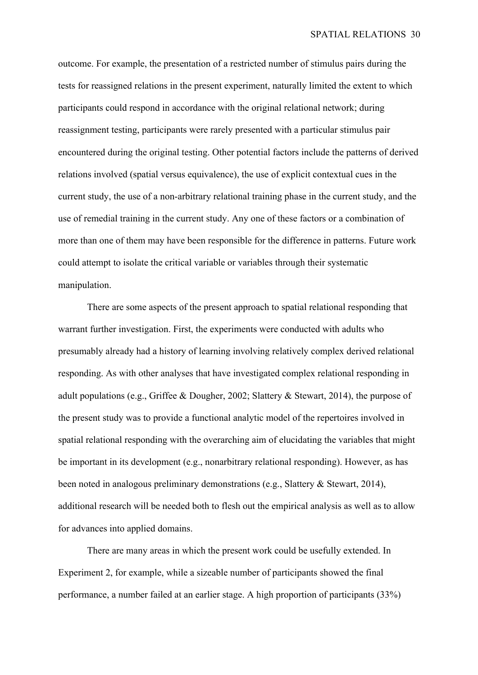outcome. For example, the presentation of a restricted number of stimulus pairs during the tests for reassigned relations in the present experiment, naturally limited the extent to which participants could respond in accordance with the original relational network; during reassignment testing, participants were rarely presented with a particular stimulus pair encountered during the original testing. Other potential factors include the patterns of derived relations involved (spatial versus equivalence), the use of explicit contextual cues in the current study, the use of a non-arbitrary relational training phase in the current study, and the use of remedial training in the current study. Any one of these factors or a combination of more than one of them may have been responsible for the difference in patterns. Future work could attempt to isolate the critical variable or variables through their systematic manipulation.

There are some aspects of the present approach to spatial relational responding that warrant further investigation. First, the experiments were conducted with adults who presumably already had a history of learning involving relatively complex derived relational responding. As with other analyses that have investigated complex relational responding in adult populations (e.g., Griffee & Dougher, 2002; Slattery & Stewart, 2014), the purpose of the present study was to provide a functional analytic model of the repertoires involved in spatial relational responding with the overarching aim of elucidating the variables that might be important in its development (e.g., nonarbitrary relational responding). However, as has been noted in analogous preliminary demonstrations (e.g., Slattery & Stewart, 2014), additional research will be needed both to flesh out the empirical analysis as well as to allow for advances into applied domains.

There are many areas in which the present work could be usefully extended. In Experiment 2, for example, while a sizeable number of participants showed the final performance, a number failed at an earlier stage. A high proportion of participants (33%)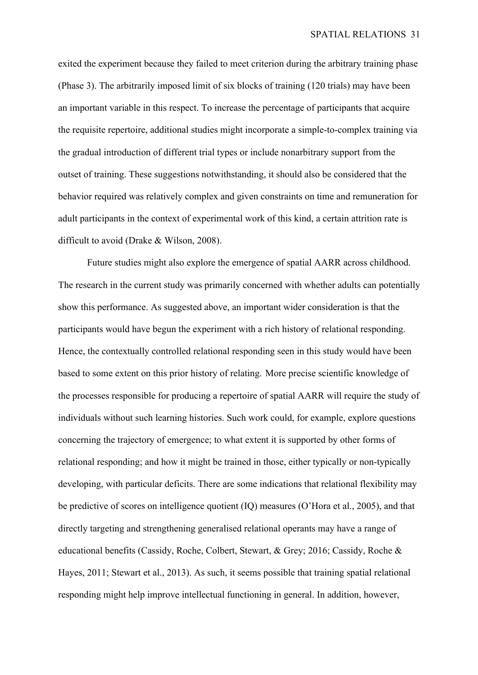exited the experiment because they failed to meet criterion during the arbitrary training phase (Phase 3). The arbitrarily imposed limit of six blocks of training (120 trials) may have been an important variable in this respect. To increase the percentage of participants that acquire the requisite repertoire, additional studies might incorporate a simple-to-complex training via the gradual introduction of different trial types or include nonarbitrary support from the outset of training. These suggestions notwithstanding, it should also be considered that the behavior required was relatively complex and given constraints on time and remuneration for adult participants in the context of experimental work of this kind, a certain attrition rate is difficult to avoid (Drake & Wilson, 2008).

Future studies might also explore the emergence of spatial AARR across childhood. The research in the current study was primarily concerned with whether adults can potentially show this performance. As suggested above, an important wider consideration is that the participants would have begun the experiment with a rich history of relational responding. Hence, the contextually controlled relational responding seen in this study would have been based to some extent on this prior history of relating. More precise scientific knowledge of the processes responsible for producing a repertoire of spatial AARR will require the study of individuals without such learning histories. Such work could, for example, explore questions concerning the trajectory of emergence; to what extent it is supported by other forms of relational responding; and how it might be trained in those, either typically or non-typically developing, with particular deficits. There are some indications that relational flexibility may be predictive of scores on intelligence quotient (IQ) measures (O'Hora et al., 2005), and that directly targeting and strengthening generalised relational operants may have a range of educational benefits (Cassidy, Roche, Colbert, Stewart, & Grey; 2016; Cassidy, Roche & Hayes, 2011; Stewart et al., 2013). As such, it seems possible that training spatial relational responding might help improve intellectual functioning in general. In addition, however,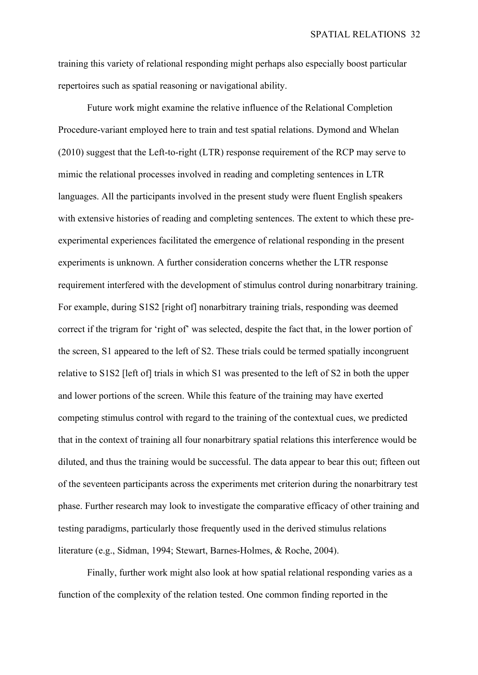training this variety of relational responding might perhaps also especially boost particular repertoires such as spatial reasoning or navigational ability.

Future work might examine the relative influence of the Relational Completion Procedure-variant employed here to train and test spatial relations. Dymond and Whelan (2010) suggest that the Left-to-right (LTR) response requirement of the RCP may serve to mimic the relational processes involved in reading and completing sentences in LTR languages. All the participants involved in the present study were fluent English speakers with extensive histories of reading and completing sentences. The extent to which these preexperimental experiences facilitated the emergence of relational responding in the present experiments is unknown. A further consideration concerns whether the LTR response requirement interfered with the development of stimulus control during nonarbitrary training. For example, during S1S2 [right of] nonarbitrary training trials, responding was deemed correct if the trigram for 'right of' was selected, despite the fact that, in the lower portion of the screen, S1 appeared to the left of S2. These trials could be termed spatially incongruent relative to S1S2 [left of] trials in which S1 was presented to the left of S2 in both the upper and lower portions of the screen. While this feature of the training may have exerted competing stimulus control with regard to the training of the contextual cues, we predicted that in the context of training all four nonarbitrary spatial relations this interference would be diluted, and thus the training would be successful. The data appear to bear this out; fifteen out of the seventeen participants across the experiments met criterion during the nonarbitrary test phase. Further research may look to investigate the comparative efficacy of other training and testing paradigms, particularly those frequently used in the derived stimulus relations literature (e.g., Sidman, 1994; Stewart, Barnes-Holmes, & Roche, 2004).

Finally, further work might also look at how spatial relational responding varies as a function of the complexity of the relation tested. One common finding reported in the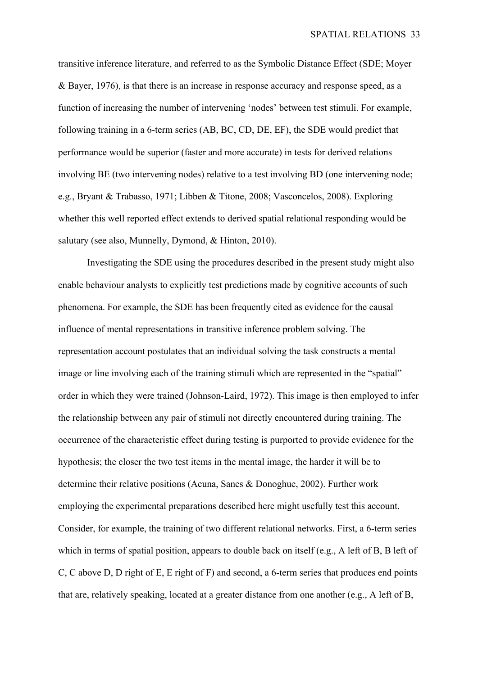transitive inference literature, and referred to as the Symbolic Distance Effect (SDE; Moyer & Bayer, 1976), is that there is an increase in response accuracy and response speed, as a function of increasing the number of intervening 'nodes' between test stimuli. For example, following training in a 6-term series (AB, BC, CD, DE, EF), the SDE would predict that performance would be superior (faster and more accurate) in tests for derived relations involving BE (two intervening nodes) relative to a test involving BD (one intervening node; e.g., Bryant & Trabasso, 1971; Libben & Titone, 2008; Vasconcelos, 2008). Exploring whether this well reported effect extends to derived spatial relational responding would be salutary (see also, Munnelly, Dymond, & Hinton, 2010).

Investigating the SDE using the procedures described in the present study might also enable behaviour analysts to explicitly test predictions made by cognitive accounts of such phenomena. For example, the SDE has been frequently cited as evidence for the causal influence of mental representations in transitive inference problem solving. The representation account postulates that an individual solving the task constructs a mental image or line involving each of the training stimuli which are represented in the "spatial" order in which they were trained (Johnson-Laird, 1972). This image is then employed to infer the relationship between any pair of stimuli not directly encountered during training. The occurrence of the characteristic effect during testing is purported to provide evidence for the hypothesis; the closer the two test items in the mental image, the harder it will be to determine their relative positions (Acuna, Sanes & Donoghue, 2002). Further work employing the experimental preparations described here might usefully test this account. Consider, for example, the training of two different relational networks. First, a 6-term series which in terms of spatial position, appears to double back on itself (e.g., A left of B, B left of C, C above D, D right of E, E right of F) and second, a 6-term series that produces end points that are, relatively speaking, located at a greater distance from one another (e.g., A left of B,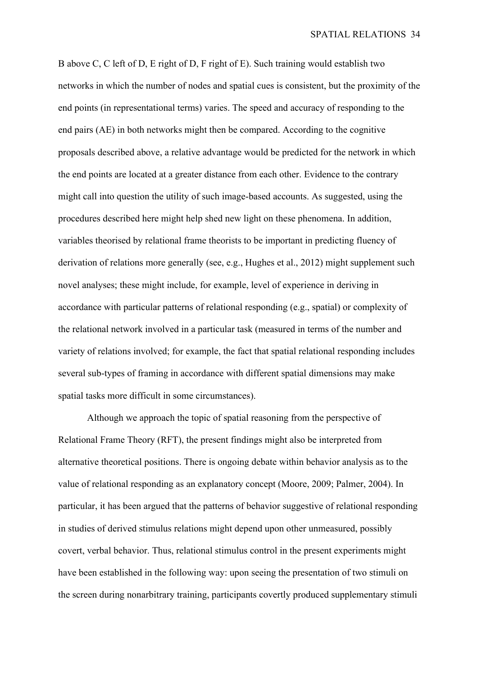B above C, C left of D, E right of D, F right of E). Such training would establish two networks in which the number of nodes and spatial cues is consistent, but the proximity of the end points (in representational terms) varies. The speed and accuracy of responding to the end pairs (AE) in both networks might then be compared. According to the cognitive proposals described above, a relative advantage would be predicted for the network in which the end points are located at a greater distance from each other. Evidence to the contrary might call into question the utility of such image-based accounts. As suggested, using the procedures described here might help shed new light on these phenomena. In addition, variables theorised by relational frame theorists to be important in predicting fluency of derivation of relations more generally (see, e.g., Hughes et al., 2012) might supplement such novel analyses; these might include, for example, level of experience in deriving in accordance with particular patterns of relational responding (e.g., spatial) or complexity of the relational network involved in a particular task (measured in terms of the number and variety of relations involved; for example, the fact that spatial relational responding includes several sub-types of framing in accordance with different spatial dimensions may make spatial tasks more difficult in some circumstances).

Although we approach the topic of spatial reasoning from the perspective of Relational Frame Theory (RFT), the present findings might also be interpreted from alternative theoretical positions. There is ongoing debate within behavior analysis as to the value of relational responding as an explanatory concept (Moore, 2009; Palmer, 2004). In particular, it has been argued that the patterns of behavior suggestive of relational responding in studies of derived stimulus relations might depend upon other unmeasured, possibly covert, verbal behavior. Thus, relational stimulus control in the present experiments might have been established in the following way: upon seeing the presentation of two stimuli on the screen during nonarbitrary training, participants covertly produced supplementary stimuli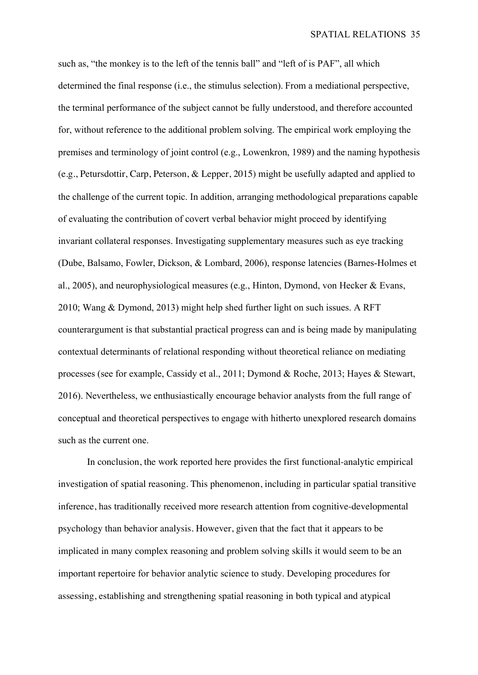such as, "the monkey is to the left of the tennis ball" and "left of is PAF", all which determined the final response (i.e., the stimulus selection). From a mediational perspective, the terminal performance of the subject cannot be fully understood, and therefore accounted for, without reference to the additional problem solving. The empirical work employing the premises and terminology of joint control (e.g., Lowenkron, 1989) and the naming hypothesis (e.g., Petursdottir, Carp, Peterson, & Lepper, 2015) might be usefully adapted and applied to the challenge of the current topic. In addition, arranging methodological preparations capable of evaluating the contribution of covert verbal behavior might proceed by identifying invariant collateral responses. Investigating supplementary measures such as eye tracking (Dube, Balsamo, Fowler, Dickson, & Lombard, 2006), response latencies (Barnes-Holmes et al., 2005), and neurophysiological measures (e.g., Hinton, Dymond, von Hecker & Evans, 2010; Wang & Dymond, 2013) might help shed further light on such issues. A RFT counterargument is that substantial practical progress can and is being made by manipulating contextual determinants of relational responding without theoretical reliance on mediating processes (see for example, Cassidy et al., 2011; Dymond & Roche, 2013; Hayes & Stewart, 2016). Nevertheless, we enthusiastically encourage behavior analysts from the full range of conceptual and theoretical perspectives to engage with hitherto unexplored research domains such as the current one.

In conclusion, the work reported here provides the first functional-analytic empirical investigation of spatial reasoning. This phenomenon, including in particular spatial transitive inference, has traditionally received more research attention from cognitive-developmental psychology than behavior analysis. However, given that the fact that it appears to be implicated in many complex reasoning and problem solving skills it would seem to be an important repertoire for behavior analytic science to study. Developing procedures for assessing, establishing and strengthening spatial reasoning in both typical and atypical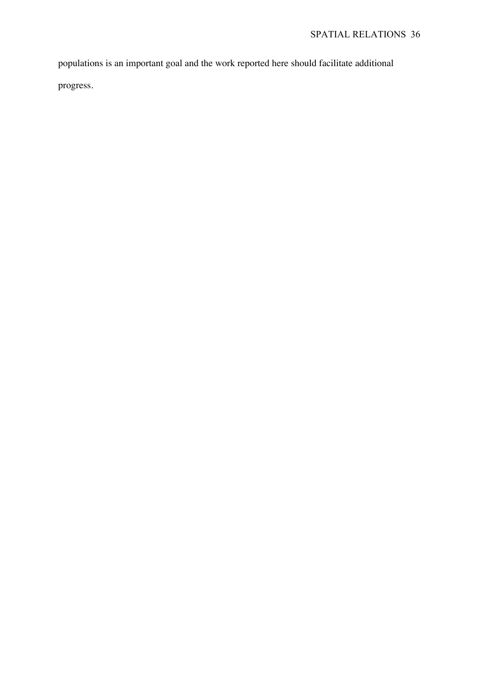populations is an important goal and the work reported here should facilitate additional

progress.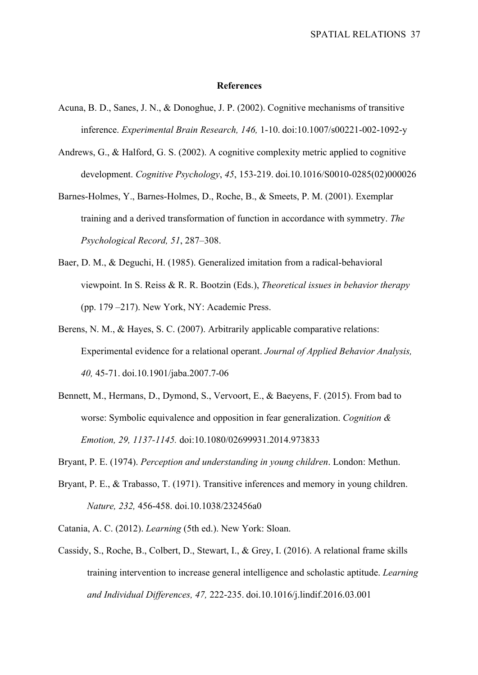#### **References**

- Acuna, B. D., Sanes, J. N., & Donoghue, J. P. (2002). Cognitive mechanisms of transitive inference. *Experimental Brain Research, 146,* 1-10. doi:10.1007/s00221-002-1092-y
- Andrews, G., & Halford, G. S. (2002). A cognitive complexity metric applied to cognitive development. *Cognitive Psychology*, *45*, 153-219. doi.10.1016/S0010-0285(02)000026
- Barnes-Holmes, Y., Barnes-Holmes, D., Roche, B., & Smeets, P. M. (2001). Exemplar training and a derived transformation of function in accordance with symmetry. *The Psychological Record, 51*, 287–308.
- Baer, D. M., & Deguchi, H. (1985). Generalized imitation from a radical-behavioral viewpoint. In S. Reiss & R. R. Bootzin (Eds.), *Theoretical issues in behavior therapy*  (pp. 179 –217). New York, NY: Academic Press.
- Berens, N. M., & Hayes, S. C. (2007). Arbitrarily applicable comparative relations: Experimental evidence for a relational operant. *Journal of Applied Behavior Analysis, 40,* 45-71. doi.10.1901/jaba.2007.7-06
- Bennett, M., Hermans, D., Dymond, S., Vervoort, E., & Baeyens, F. (2015). From bad to worse: Symbolic equivalence and opposition in fear generalization. *Cognition & Emotion, 29, 1137-1145.* doi:10.1080/02699931.2014.973833
- Bryant, P. E. (1974). *Perception and understanding in young children*. London: Methun.
- Bryant, P. E., & Trabasso, T. (1971). Transitive inferences and memory in young children. *Nature, 232,* 456-458. doi.10.1038/232456a0
- Catania, A. C. (2012). *Learning* (5th ed.). New York: Sloan.
- Cassidy, S., Roche, B., Colbert, D., Stewart, I., & Grey, I. (2016). A relational frame skills training intervention to increase general intelligence and scholastic aptitude. *Learning and Individual Differences, 47,* 222-235. doi.10.1016/j.lindif.2016.03.001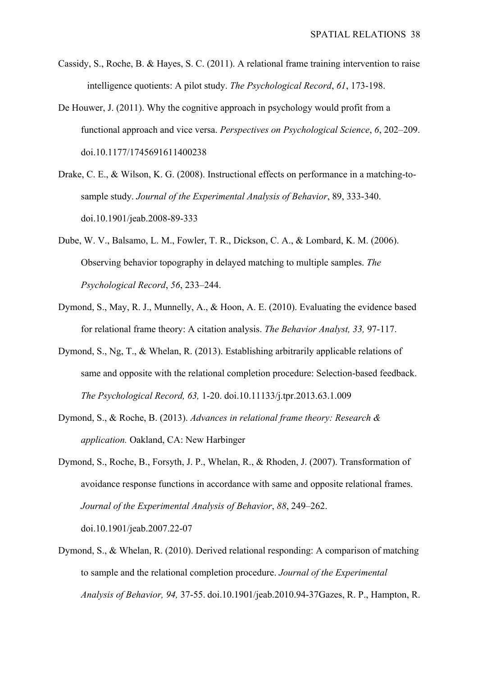- Cassidy, S., Roche, B. & Hayes, S. C. (2011). A relational frame training intervention to raise intelligence quotients: A pilot study. *The Psychological Record*, *61*, 173-198.
- De Houwer, J. (2011). Why the cognitive approach in psychology would profit from a functional approach and vice versa. *Perspectives on Psychological Science*, *6*, 202–209. doi.10.1177/1745691611400238
- Drake, C. E., & Wilson, K. G. (2008). Instructional effects on performance in a matching-tosample study. *Journal of the Experimental Analysis of Behavior*, 89, 333-340. doi.10.1901/jeab.2008-89-333
- Dube, W. V., Balsamo, L. M., Fowler, T. R., Dickson, C. A., & Lombard, K. M. (2006). Observing behavior topography in delayed matching to multiple samples. *The Psychological Record*, *56*, 233–244.
- Dymond, S., May, R. J., Munnelly, A., & Hoon, A. E. (2010). Evaluating the evidence based for relational frame theory: A citation analysis. *The Behavior Analyst, 33,* 97-117.
- Dymond, S., Ng, T., & Whelan, R. (2013). Establishing arbitrarily applicable relations of same and opposite with the relational completion procedure: Selection-based feedback. *The Psychological Record, 63,* 1-20. doi.10.11133/j.tpr.2013.63.1.009
- Dymond, S., & Roche, B. (2013). *Advances in relational frame theory: Research & application.* Oakland, CA: New Harbinger
- Dymond, S., Roche, B., Forsyth, J. P., Whelan, R., & Rhoden, J. (2007). Transformation of avoidance response functions in accordance with same and opposite relational frames. *Journal of the Experimental Analysis of Behavior*, *88*, 249–262. doi.10.1901/jeab.2007.22-07
- Dymond, S., & Whelan, R. (2010). Derived relational responding: A comparison of matching to sample and the relational completion procedure. *Journal of the Experimental Analysis of Behavior, 94,* 37-55. doi.10.1901/jeab.2010.94-37Gazes, R. P., Hampton, R.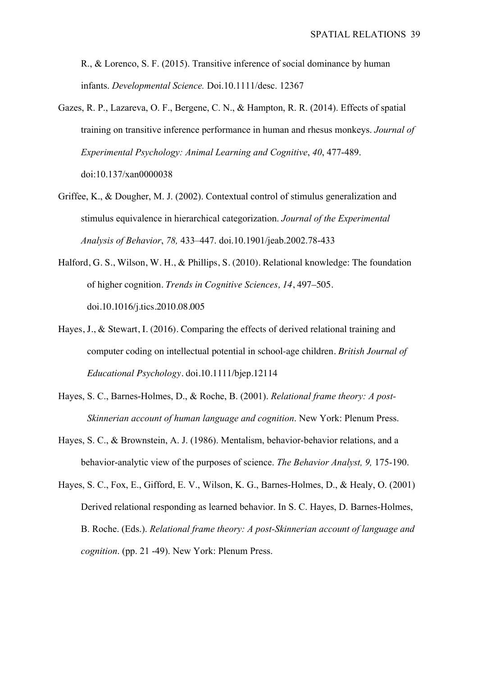R., & Lorenco, S. F. (2015). Transitive inference of social dominance by human infants. *Developmental Science.* Doi.10.1111/desc. 12367

- Gazes, R. P., Lazareva, O. F., Bergene, C. N., & Hampton, R. R. (2014). Effects of spatial training on transitive inference performance in human and rhesus monkeys. *Journal of Experimental Psychology: Animal Learning and Cognitive*, *40*, 477-489. doi:10.137/xan0000038
- Griffee, K., & Dougher, M. J. (2002). Contextual control of stimulus generalization and stimulus equivalence in hierarchical categorization. *Journal of the Experimental Analysis of Behavior*, *78,* 433–447. doi.10.1901/jeab.2002.78-433
- Halford, G. S., Wilson, W. H., & Phillips, S. (2010). Relational knowledge: The foundation of higher cognition. *Trends in Cognitive Sciences, 14*, 497–505. doi.10.1016/j.tics.2010.08.005
- Hayes, J., & Stewart, I. (2016). Comparing the effects of derived relational training and computer coding on intellectual potential in school-age children. *British Journal of Educational Psychology*. doi.10.1111/bjep.12114
- Hayes, S. C., Barnes-Holmes, D., & Roche, B. (2001). *Relational frame theory: A post-Skinnerian account of human language and cognition*. New York: Plenum Press.
- Hayes, S. C., & Brownstein, A. J. (1986). Mentalism, behavior-behavior relations, and a behavior-analytic view of the purposes of science. *The Behavior Analyst, 9,* 175-190.
- Hayes, S. C., Fox, E., Gifford, E. V., Wilson, K. G., Barnes-Holmes, D., & Healy, O. (2001) Derived relational responding as learned behavior. In S. C. Hayes, D. Barnes-Holmes, B. Roche. (Eds.). *Relational frame theory: A post-Skinnerian account of language and cognition*. (pp. 21 -49). New York: Plenum Press.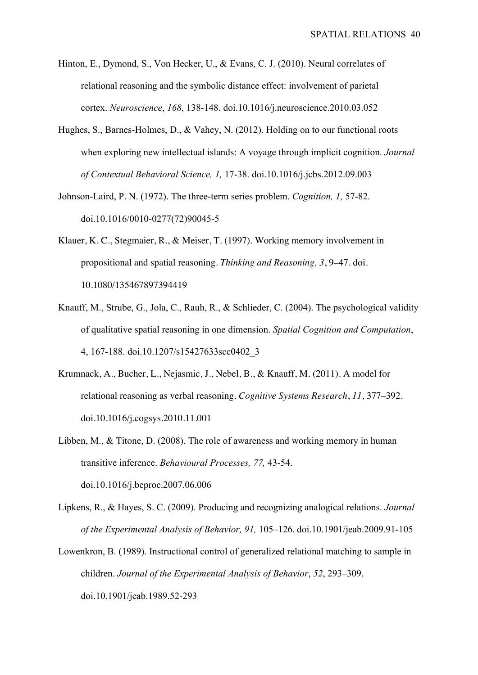- Hinton, E., Dymond, S., Von Hecker, U., & Evans, C. J. (2010). Neural correlates of relational reasoning and the symbolic distance effect: involvement of parietal cortex. *Neuroscience*, *168*, 138-148. doi.10.1016/j.neuroscience.2010.03.052
- Hughes, S., Barnes-Holmes, D., & Vahey, N. (2012). Holding on to our functional roots when exploring new intellectual islands: A voyage through implicit cognition. *Journal of Contextual Behavioral Science, 1,* 17-38. doi.10.1016/j.jcbs.2012.09.003
- Johnson-Laird, P. N. (1972). The three-term series problem. *Cognition, 1,* 57-82. doi.10.1016/0010-0277(72)90045-5
- Klauer, K. C., Stegmaier, R., & Meiser, T. (1997). Working memory involvement in propositional and spatial reasoning. *Thinking and Reasoning, 3*, 9–47. doi. 10.1080/135467897394419
- Knauff, M., Strube, G., Jola, C., Rauh, R., & Schlieder, C. (2004). The psychological validity of qualitative spatial reasoning in one dimension. *Spatial Cognition and Computation*, 4, 167-188. doi.10.1207/s15427633scc0402\_3
- Krumnack, A., Bucher, L., Nejasmic, J., Nebel, B., & Knauff, M. (2011). A model for relational reasoning as verbal reasoning. *Cognitive Systems Research*, *11*, 377–392. doi.10.1016/j.cogsys.2010.11.001
- Libben, M., & Titone, D. (2008). The role of awareness and working memory in human transitive inference. *Behavioural Processes, 77,* 43-54. doi.10.1016/j.beproc.2007.06.006
- Lipkens, R., & Hayes, S. C. (2009). Producing and recognizing analogical relations. *Journal of the Experimental Analysis of Behavior, 91,* 105–126. doi.10.1901/jeab.2009.91-105
- Lowenkron, B. (1989). Instructional control of generalized relational matching to sample in children. *Journal of the Experimental Analysis of Behavior*, *52*, 293–309. doi.10.1901/jeab.1989.52-293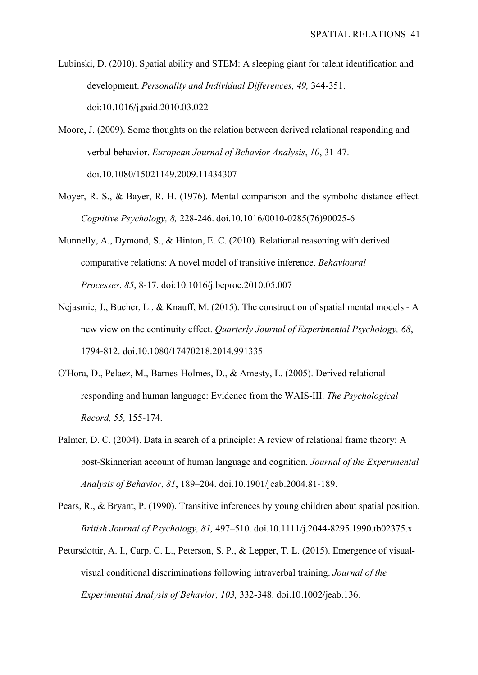Lubinski, D. (2010). Spatial ability and STEM: A sleeping giant for talent identification and development. *Personality and Individual Differences, 49,* 344-351. doi:10.1016/j.paid.2010.03.022

Moore, J. (2009). Some thoughts on the relation between derived relational responding and verbal behavior. *European Journal of Behavior Analysis*, *10*, 31-47. doi.10.1080/15021149.2009.11434307

- Moyer, R. S., & Bayer, R. H. (1976). Mental comparison and the symbolic distance effect*. Cognitive Psychology, 8,* 228-246. doi.10.1016/0010-0285(76)90025-6
- Munnelly, A., Dymond, S., & Hinton, E. C. (2010). Relational reasoning with derived comparative relations: A novel model of transitive inference. *Behavioural Processes*, *85*, 8-17. doi:10.1016/j.beproc.2010.05.007
- Nejasmic, J., Bucher, L., & Knauff, M. (2015). The construction of spatial mental models A new view on the continuity effect. *Quarterly Journal of Experimental Psychology, 68*, 1794-812. doi.10.1080/17470218.2014.991335
- O'Hora, D., Pelaez, M., Barnes-Holmes, D., & Amesty, L. (2005). Derived relational responding and human language: Evidence from the WAIS-III. *The Psychological Record, 55,* 155-174.
- Palmer, D. C. (2004). Data in search of a principle: A review of relational frame theory: A post-Skinnerian account of human language and cognition. *Journal of the Experimental Analysis of Behavior*, *81*, 189–204. doi.10.1901/jeab.2004.81-189.
- Pears, R., & Bryant, P. (1990). Transitive inferences by young children about spatial position. *British Journal of Psychology, 81,* 497–510. doi.10.1111/j.2044-8295.1990.tb02375.x
- Petursdottir, A. I., Carp, C. L., Peterson, S. P., & Lepper, T. L. (2015). Emergence of visualvisual conditional discriminations following intraverbal training. *Journal of the Experimental Analysis of Behavior, 103,* 332-348. doi.10.1002/jeab.136.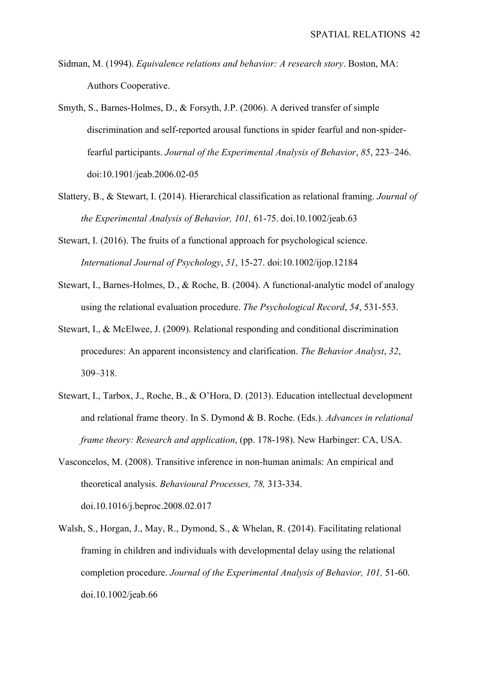- Sidman, M. (1994). *Equivalence relations and behavior: A research story*. Boston, MA: Authors Cooperative.
- Smyth, S., Barnes-Holmes, D., & Forsyth, J.P. (2006). A derived transfer of simple discrimination and self-reported arousal functions in spider fearful and non-spiderfearful participants. *Journal of the Experimental Analysis of Behavior*, *85*, 223–246. doi:10.1901/jeab.2006.02-05
- Slattery, B., & Stewart, I. (2014). Hierarchical classification as relational framing. *Journal of the Experimental Analysis of Behavior, 101,* 61-75. doi.10.1002/jeab.63
- Stewart, I. (2016). The fruits of a functional approach for psychological science. *International Journal of Psychology*, *51*, 15-27. doi:10.1002/ijop.12184
- Stewart, I., Barnes-Holmes, D., & Roche, B. (2004). A functional-analytic model of analogy using the relational evaluation procedure. *The Psychological Record*, *54*, 531-553.
- Stewart, I., & McElwee, J. (2009). Relational responding and conditional discrimination procedures: An apparent inconsistency and clarification. *The Behavior Analyst*, *32*, 309–318.
- Stewart, I., Tarbox, J., Roche, B., & O'Hora, D. (2013). Education intellectual development and relational frame theory. In S. Dymond & B. Roche. (Eds.). *Advances in relational frame theory: Research and application*, (pp. 178-198). New Harbinger: CA, USA.
- Vasconcelos, M. (2008). Transitive inference in non-human animals: An empirical and theoretical analysis. *Behavioural Processes, 78,* 313-334. doi.10.1016/j.beproc.2008.02.017
- Walsh, S., Horgan, J., May, R., Dymond, S., & Whelan, R. (2014). Facilitating relational framing in children and individuals with developmental delay using the relational completion procedure. *Journal of the Experimental Analysis of Behavior, 101,* 51-60. doi.10.1002/jeab.66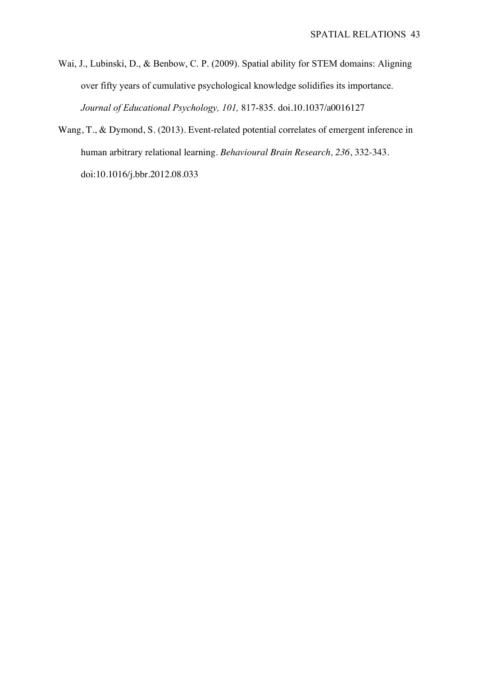- Wai, J., Lubinski, D., & Benbow, C. P. (2009). Spatial ability for STEM domains: Aligning over fifty years of cumulative psychological knowledge solidifies its importance. *Journal of Educational Psychology, 101,* 817-835. doi.10.1037/a0016127
- Wang, T., & Dymond, S. (2013). Event-related potential correlates of emergent inference in human arbitrary relational learning. *Behavioural Brain Research, 236*, 332-343. doi:10.1016/j.bbr.2012.08.033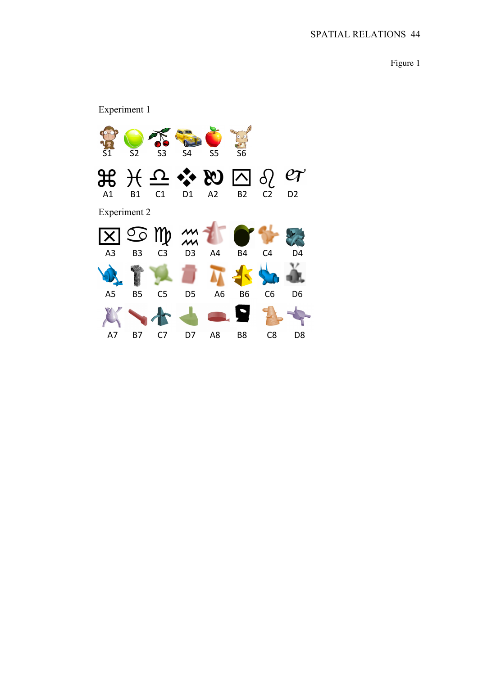Figure 1

# Experiment 1